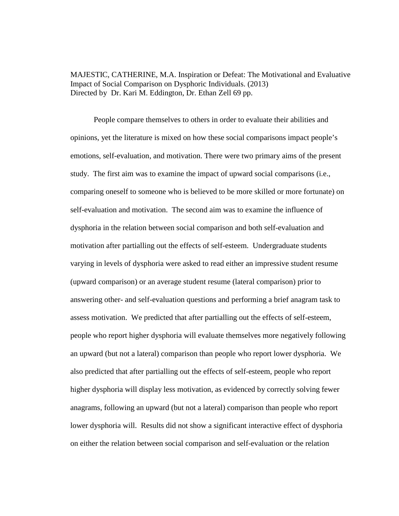MAJESTIC, CATHERINE, M.A. Inspiration or Defeat: The Motivational and Evaluative Impact of Social Comparison on Dysphoric Individuals. (2013) Directed by Dr. Kari M. Eddington, Dr. Ethan Zell 69 pp.

People compare themselves to others in order to evaluate their abilities and opinions, yet the literature is mixed on how these social comparisons impact people's emotions, self-evaluation, and motivation. There were two primary aims of the present study. The first aim was to examine the impact of upward social comparisons (i.e., comparing oneself to someone who is believed to be more skilled or more fortunate) on self-evaluation and motivation. The second aim was to examine the influence of dysphoria in the relation between social comparison and both self-evaluation and motivation after partialling out the effects of self-esteem. Undergraduate students varying in levels of dysphoria were asked to read either an impressive student resume (upward comparison) or an average student resume (lateral comparison) prior to answering other- and self-evaluation questions and performing a brief anagram task to assess motivation. We predicted that after partialling out the effects of self-esteem, people who report higher dysphoria will evaluate themselves more negatively following an upward (but not a lateral) comparison than people who report lower dysphoria. We also predicted that after partialling out the effects of self-esteem, people who report higher dysphoria will display less motivation, as evidenced by correctly solving fewer anagrams, following an upward (but not a lateral) comparison than people who report lower dysphoria will. Results did not show a significant interactive effect of dysphoria on either the relation between social comparison and self-evaluation or the relation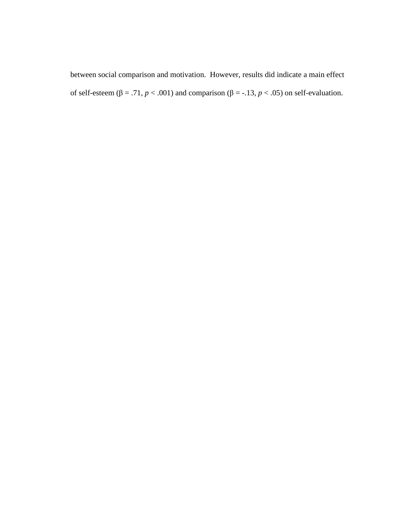between social comparison and motivation. However, results did indicate a main effect of self-esteem (β = .71,  $p < .001$ ) and comparison (β = -.13,  $p < .05$ ) on self-evaluation.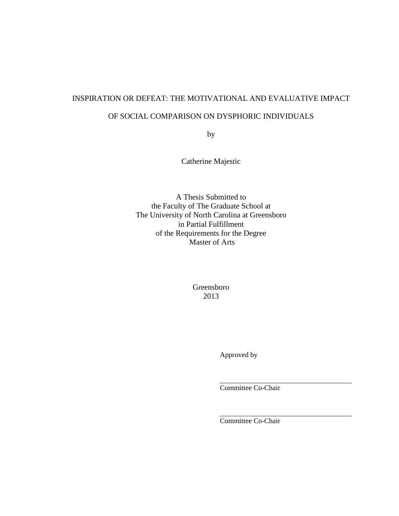# INSPIRATION OR DEFEAT: THE MOTIVATIONAL AND EVALUATIVE IMPACT

## OF SOCIAL COMPARISON ON DYSPHORIC INDIVIDUALS

by

Catherine Majestic

A Thesis Submitted to the Faculty of The Graduate School at The University of North Carolina at Greensboro in Partial Fulfillment of the Requirements for the Degree Master of Arts

> Greensboro 2013

> > Approved by

 $\overline{a}$ 

 $\overline{a}$ 

Committee Co-Chair

Committee Co-Chair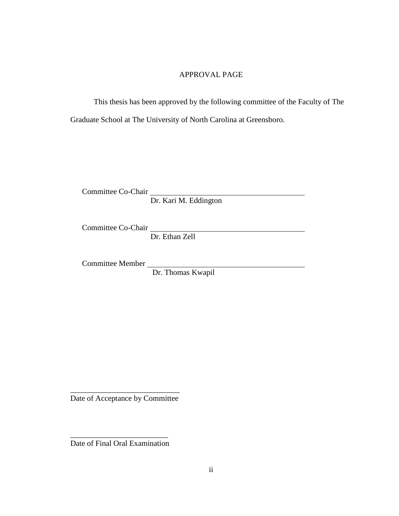## APPROVAL PAGE

This thesis has been approved by the following committee of the Faculty of The Graduate School at The University of North Carolina at Greensboro.

Committee Co-Chair

Dr. Kari M. Eddington

Committee Co-Chair

Dr. Ethan Zell

Committee Member

Dr. Thomas Kwapil

\_\_\_\_\_\_\_\_\_\_\_\_\_\_\_\_\_\_\_\_\_\_\_\_\_\_\_\_ Date of Acceptance by Committee

\_\_\_\_\_\_\_\_\_\_\_\_\_\_\_\_\_\_\_\_\_\_\_\_\_ Date of Final Oral Examination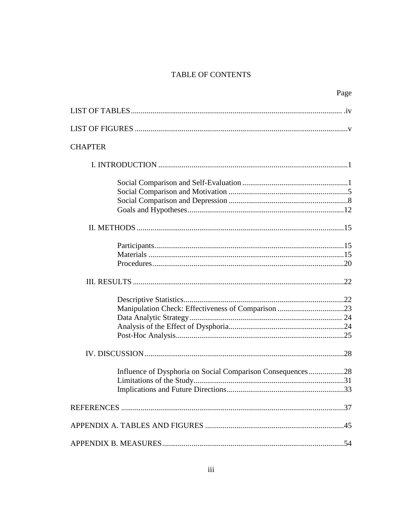# **TABLE OF CONTENTS**

|                                                            | Page |
|------------------------------------------------------------|------|
|                                                            |      |
|                                                            |      |
| <b>CHAPTER</b>                                             |      |
|                                                            |      |
|                                                            |      |
|                                                            |      |
|                                                            |      |
|                                                            |      |
|                                                            |      |
|                                                            |      |
|                                                            |      |
|                                                            |      |
|                                                            |      |
|                                                            |      |
|                                                            |      |
|                                                            |      |
|                                                            |      |
|                                                            |      |
|                                                            |      |
| Influence of Dysphoria on Social Comparison Consequences28 |      |
|                                                            |      |
|                                                            |      |
|                                                            |      |
|                                                            |      |
|                                                            |      |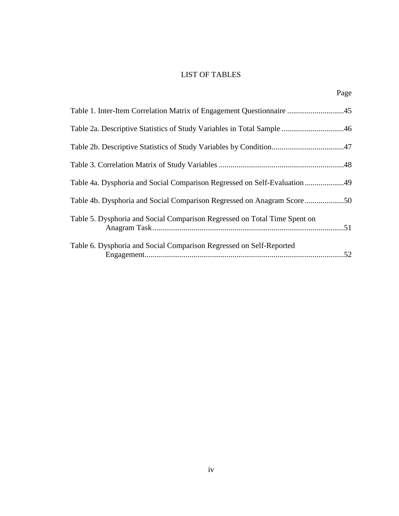# LIST OF TABLES

| Table 2a. Descriptive Statistics of Study Variables in Total Sample 46    |  |
|---------------------------------------------------------------------------|--|
|                                                                           |  |
|                                                                           |  |
| Table 4a. Dysphoria and Social Comparison Regressed on Self-Evaluation 49 |  |
|                                                                           |  |
| Table 5. Dysphoria and Social Comparison Regressed on Total Time Spent on |  |
| Table 6. Dysphoria and Social Comparison Regressed on Self-Reported       |  |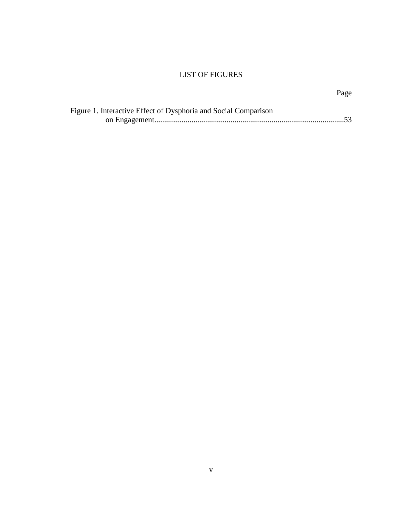# LIST OF FIGURES

| Figure 1. Interactive Effect of Dysphoria and Social Comparison |  |
|-----------------------------------------------------------------|--|
|                                                                 |  |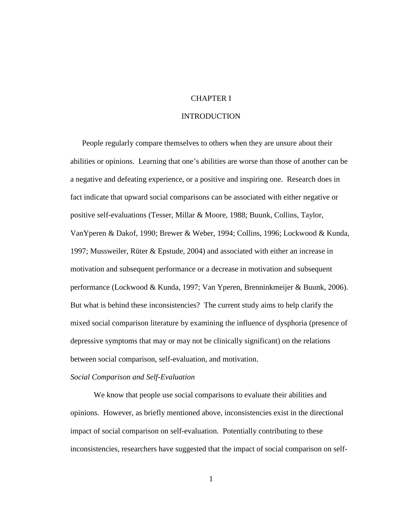## CHAPTER I

### INTRODUCTION

People regularly compare themselves to others when they are unsure about their abilities or opinions. Learning that one's abilities are worse than those of another can be a negative and defeating experience, or a positive and inspiring one. Research does in fact indicate that upward social comparisons can be associated with either negative or positive self-evaluations (Tesser, Millar & Moore, 1988; Buunk, Collins, Taylor, VanYperen & Dakof, 1990; Brewer & Weber, 1994; Collins, 1996; Lockwood & Kunda, 1997; Mussweiler, Rüter & Epstude, 2004) and associated with either an increase in motivation and subsequent performance or a decrease in motivation and subsequent performance (Lockwood & Kunda, 1997; Van Yperen, Brenninkmeijer & Buunk, 2006). But what is behind these inconsistencies? The current study aims to help clarify the mixed social comparison literature by examining the influence of dysphoria (presence of depressive symptoms that may or may not be clinically significant) on the relations between social comparison, self-evaluation, and motivation.

#### *Social Comparison and Self-Evaluation*

We know that people use social comparisons to evaluate their abilities and opinions. However, as briefly mentioned above, inconsistencies exist in the directional impact of social comparison on self-evaluation. Potentially contributing to these inconsistencies, researchers have suggested that the impact of social comparison on self-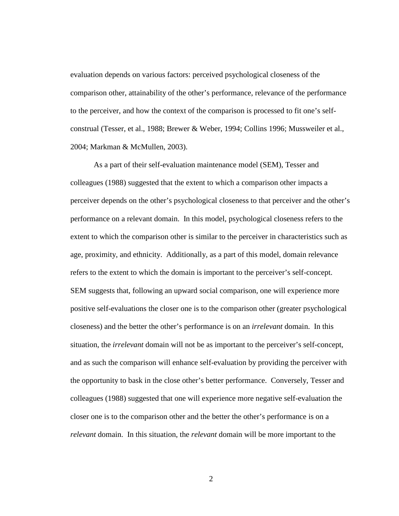evaluation depends on various factors: perceived psychological closeness of the comparison other, attainability of the other's performance, relevance of the performance to the perceiver, and how the context of the comparison is processed to fit one's selfconstrual (Tesser, et al., 1988; Brewer & Weber, 1994; Collins 1996; Mussweiler et al., 2004; Markman & McMullen, 2003).

 As a part of their self-evaluation maintenance model (SEM), Tesser and colleagues (1988) suggested that the extent to which a comparison other impacts a perceiver depends on the other's psychological closeness to that perceiver and the other's performance on a relevant domain. In this model, psychological closeness refers to the extent to which the comparison other is similar to the perceiver in characteristics such as age, proximity, and ethnicity. Additionally, as a part of this model, domain relevance refers to the extent to which the domain is important to the perceiver's self-concept. SEM suggests that, following an upward social comparison, one will experience more positive self-evaluations the closer one is to the comparison other (greater psychological closeness) and the better the other's performance is on an *irrelevant* domain. In this situation, the *irrelevant* domain will not be as important to the perceiver's self-concept, and as such the comparison will enhance self-evaluation by providing the perceiver with the opportunity to bask in the close other's better performance. Conversely, Tesser and colleagues (1988) suggested that one will experience more negative self-evaluation the closer one is to the comparison other and the better the other's performance is on a *relevant* domain. In this situation, the *relevant* domain will be more important to the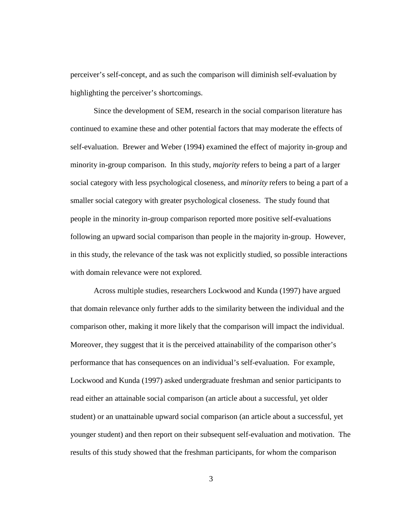perceiver's self-concept, and as such the comparison will diminish self-evaluation by highlighting the perceiver's shortcomings.

Since the development of SEM, research in the social comparison literature has continued to examine these and other potential factors that may moderate the effects of self-evaluation. Brewer and Weber (1994) examined the effect of majority in-group and minority in-group comparison. In this study, *majority* refers to being a part of a larger social category with less psychological closeness, and *minority* refers to being a part of a smaller social category with greater psychological closeness. The study found that people in the minority in-group comparison reported more positive self-evaluations following an upward social comparison than people in the majority in-group. However, in this study, the relevance of the task was not explicitly studied, so possible interactions with domain relevance were not explored.

Across multiple studies, researchers Lockwood and Kunda (1997) have argued that domain relevance only further adds to the similarity between the individual and the comparison other, making it more likely that the comparison will impact the individual. Moreover, they suggest that it is the perceived attainability of the comparison other's performance that has consequences on an individual's self-evaluation. For example, Lockwood and Kunda (1997) asked undergraduate freshman and senior participants to read either an attainable social comparison (an article about a successful, yet older student) or an unattainable upward social comparison (an article about a successful, yet younger student) and then report on their subsequent self-evaluation and motivation. The results of this study showed that the freshman participants, for whom the comparison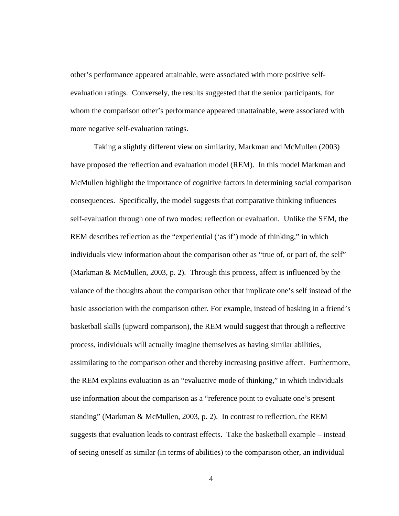other's performance appeared attainable, were associated with more positive selfevaluation ratings. Conversely, the results suggested that the senior participants, for whom the comparison other's performance appeared unattainable, were associated with more negative self-evaluation ratings.

 Taking a slightly different view on similarity, Markman and McMullen (2003) have proposed the reflection and evaluation model (REM). In this model Markman and McMullen highlight the importance of cognitive factors in determining social comparison consequences. Specifically, the model suggests that comparative thinking influences self-evaluation through one of two modes: reflection or evaluation. Unlike the SEM, the REM describes reflection as the "experiential ('as if') mode of thinking," in which individuals view information about the comparison other as "true of, or part of, the self" (Markman & McMullen, 2003, p. 2). Through this process, affect is influenced by the valance of the thoughts about the comparison other that implicate one's self instead of the basic association with the comparison other. For example, instead of basking in a friend's basketball skills (upward comparison), the REM would suggest that through a reflective process, individuals will actually imagine themselves as having similar abilities, assimilating to the comparison other and thereby increasing positive affect. Furthermore, the REM explains evaluation as an "evaluative mode of thinking," in which individuals use information about the comparison as a "reference point to evaluate one's present standing" (Markman & McMullen, 2003, p. 2). In contrast to reflection, the REM suggests that evaluation leads to contrast effects. Take the basketball example – instead of seeing oneself as similar (in terms of abilities) to the comparison other, an individual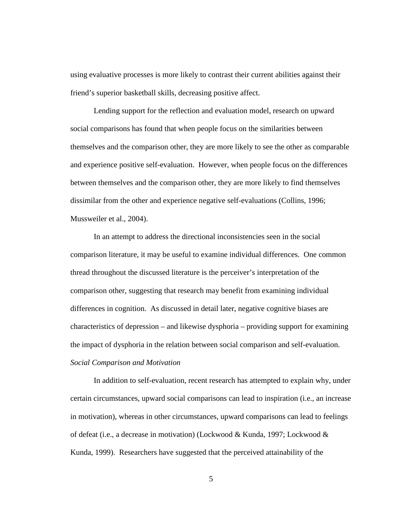using evaluative processes is more likely to contrast their current abilities against their friend's superior basketball skills, decreasing positive affect.

Lending support for the reflection and evaluation model, research on upward social comparisons has found that when people focus on the similarities between themselves and the comparison other, they are more likely to see the other as comparable and experience positive self-evaluation. However, when people focus on the differences between themselves and the comparison other, they are more likely to find themselves dissimilar from the other and experience negative self-evaluations (Collins, 1996; Mussweiler et al., 2004).

In an attempt to address the directional inconsistencies seen in the social comparison literature, it may be useful to examine individual differences. One common thread throughout the discussed literature is the perceiver's interpretation of the comparison other, suggesting that research may benefit from examining individual differences in cognition. As discussed in detail later, negative cognitive biases are characteristics of depression – and likewise dysphoria – providing support for examining the impact of dysphoria in the relation between social comparison and self-evaluation. *Social Comparison and Motivation* 

 In addition to self-evaluation, recent research has attempted to explain why, under certain circumstances, upward social comparisons can lead to inspiration (i.e., an increase in motivation), whereas in other circumstances, upward comparisons can lead to feelings of defeat (i.e., a decrease in motivation) (Lockwood & Kunda, 1997; Lockwood & Kunda, 1999). Researchers have suggested that the perceived attainability of the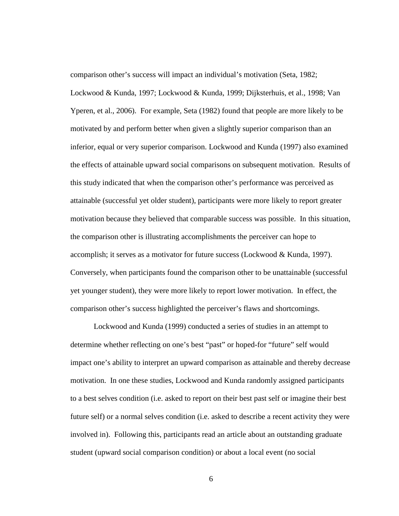comparison other's success will impact an individual's motivation (Seta, 1982; Lockwood & Kunda, 1997; Lockwood & Kunda, 1999; Dijksterhuis, et al., 1998; Van Yperen, et al., 2006). For example, Seta (1982) found that people are more likely to be motivated by and perform better when given a slightly superior comparison than an inferior, equal or very superior comparison. Lockwood and Kunda (1997) also examined the effects of attainable upward social comparisons on subsequent motivation. Results of this study indicated that when the comparison other's performance was perceived as attainable (successful yet older student), participants were more likely to report greater motivation because they believed that comparable success was possible. In this situation, the comparison other is illustrating accomplishments the perceiver can hope to accomplish; it serves as a motivator for future success (Lockwood & Kunda, 1997). Conversely, when participants found the comparison other to be unattainable (successful yet younger student), they were more likely to report lower motivation. In effect, the comparison other's success highlighted the perceiver's flaws and shortcomings.

 Lockwood and Kunda (1999) conducted a series of studies in an attempt to determine whether reflecting on one's best "past" or hoped-for "future" self would impact one's ability to interpret an upward comparison as attainable and thereby decrease motivation. In one these studies, Lockwood and Kunda randomly assigned participants to a best selves condition (i.e. asked to report on their best past self or imagine their best future self) or a normal selves condition (i.e. asked to describe a recent activity they were involved in). Following this, participants read an article about an outstanding graduate student (upward social comparison condition) or about a local event (no social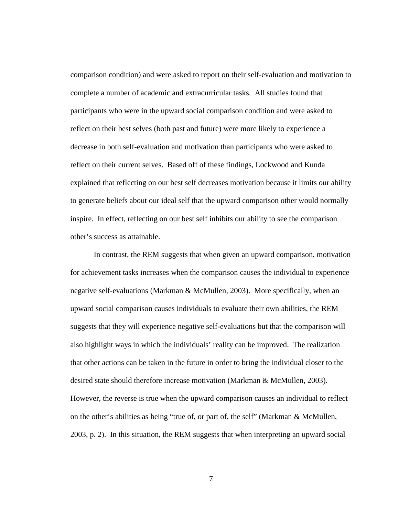comparison condition) and were asked to report on their self-evaluation and motivation to complete a number of academic and extracurricular tasks. All studies found that participants who were in the upward social comparison condition and were asked to reflect on their best selves (both past and future) were more likely to experience a decrease in both self-evaluation and motivation than participants who were asked to reflect on their current selves. Based off of these findings, Lockwood and Kunda explained that reflecting on our best self decreases motivation because it limits our ability to generate beliefs about our ideal self that the upward comparison other would normally inspire. In effect, reflecting on our best self inhibits our ability to see the comparison other's success as attainable.

 In contrast, the REM suggests that when given an upward comparison, motivation for achievement tasks increases when the comparison causes the individual to experience negative self-evaluations (Markman & McMullen, 2003). More specifically, when an upward social comparison causes individuals to evaluate their own abilities, the REM suggests that they will experience negative self-evaluations but that the comparison will also highlight ways in which the individuals' reality can be improved. The realization that other actions can be taken in the future in order to bring the individual closer to the desired state should therefore increase motivation (Markman & McMullen, 2003). However, the reverse is true when the upward comparison causes an individual to reflect on the other's abilities as being "true of, or part of, the self" (Markman & McMullen, 2003, p. 2). In this situation, the REM suggests that when interpreting an upward social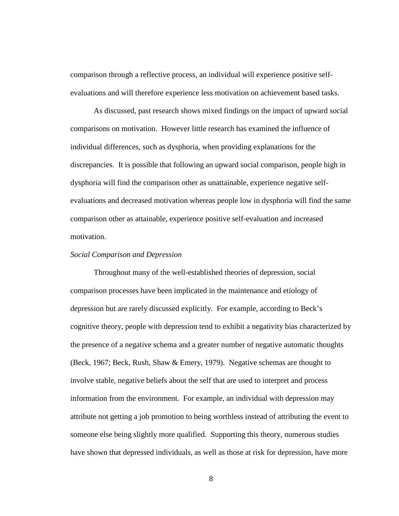comparison through a reflective process, an individual will experience positive selfevaluations and will therefore experience less motivation on achievement based tasks.

 As discussed, past research shows mixed findings on the impact of upward social comparisons on motivation. However little research has examined the influence of individual differences, such as dysphoria, when providing explanations for the discrepancies. It is possible that following an upward social comparison, people high in dysphoria will find the comparison other as unattainable, experience negative selfevaluations and decreased motivation whereas people low in dysphoria will find the same comparison other as attainable, experience positive self-evaluation and increased motivation.

## *Social Comparison and Depression*

Throughout many of the well-established theories of depression, social comparison processes have been implicated in the maintenance and etiology of depression but are rarely discussed explicitly. For example, according to Beck's cognitive theory, people with depression tend to exhibit a negativity bias characterized by the presence of a negative schema and a greater number of negative automatic thoughts (Beck, 1967; Beck, Rush, Shaw & Emery, 1979). Negative schemas are thought to involve stable, negative beliefs about the self that are used to interpret and process information from the environment. For example, an individual with depression may attribute not getting a job promotion to being worthless instead of attributing the event to someone else being slightly more qualified. Supporting this theory, numerous studies have shown that depressed individuals, as well as those at risk for depression, have more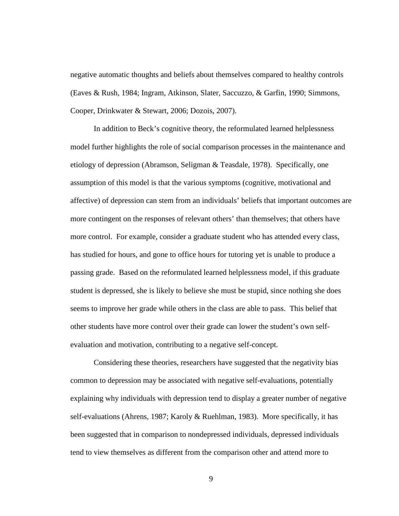negative automatic thoughts and beliefs about themselves compared to healthy controls (Eaves & Rush, 1984; Ingram, Atkinson, Slater, Saccuzzo, & Garfin, 1990; Simmons, Cooper, Drinkwater & Stewart, 2006; Dozois, 2007).

 In addition to Beck's cognitive theory, the reformulated learned helplessness model further highlights the role of social comparison processes in the maintenance and etiology of depression (Abramson, Seligman & Teasdale, 1978). Specifically, one assumption of this model is that the various symptoms (cognitive, motivational and affective) of depression can stem from an individuals' beliefs that important outcomes are more contingent on the responses of relevant others' than themselves; that others have more control. For example, consider a graduate student who has attended every class, has studied for hours, and gone to office hours for tutoring yet is unable to produce a passing grade. Based on the reformulated learned helplessness model, if this graduate student is depressed, she is likely to believe she must be stupid, since nothing she does seems to improve her grade while others in the class are able to pass. This belief that other students have more control over their grade can lower the student's own selfevaluation and motivation, contributing to a negative self-concept.

Considering these theories, researchers have suggested that the negativity bias common to depression may be associated with negative self-evaluations, potentially explaining why individuals with depression tend to display a greater number of negative self-evaluations (Ahrens, 1987; Karoly & Ruehlman, 1983). More specifically, it has been suggested that in comparison to nondepressed individuals, depressed individuals tend to view themselves as different from the comparison other and attend more to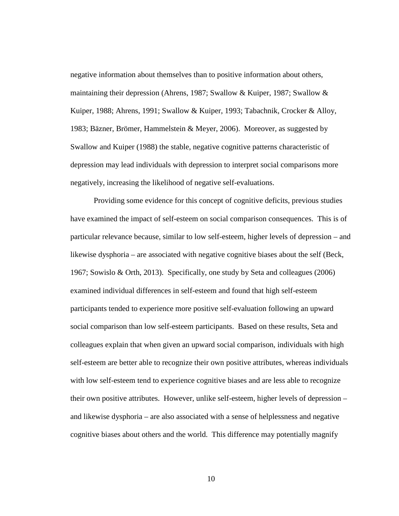negative information about themselves than to positive information about others, maintaining their depression (Ahrens, 1987; Swallow & Kuiper, 1987; Swallow & Kuiper, 1988; Ahrens, 1991; Swallow & Kuiper, 1993; Tabachnik, Crocker & Alloy, 1983; Bäzner, Brömer, Hammelstein & Meyer, 2006). Moreover, as suggested by Swallow and Kuiper (1988) the stable, negative cognitive patterns characteristic of depression may lead individuals with depression to interpret social comparisons more negatively, increasing the likelihood of negative self-evaluations.

Providing some evidence for this concept of cognitive deficits, previous studies have examined the impact of self-esteem on social comparison consequences. This is of particular relevance because, similar to low self-esteem, higher levels of depression – and likewise dysphoria – are associated with negative cognitive biases about the self (Beck, 1967; Sowislo & Orth, 2013). Specifically, one study by Seta and colleagues (2006) examined individual differences in self-esteem and found that high self-esteem participants tended to experience more positive self-evaluation following an upward social comparison than low self-esteem participants. Based on these results, Seta and colleagues explain that when given an upward social comparison, individuals with high self-esteem are better able to recognize their own positive attributes, whereas individuals with low self-esteem tend to experience cognitive biases and are less able to recognize their own positive attributes. However, unlike self-esteem, higher levels of depression – and likewise dysphoria – are also associated with a sense of helplessness and negative cognitive biases about others and the world. This difference may potentially magnify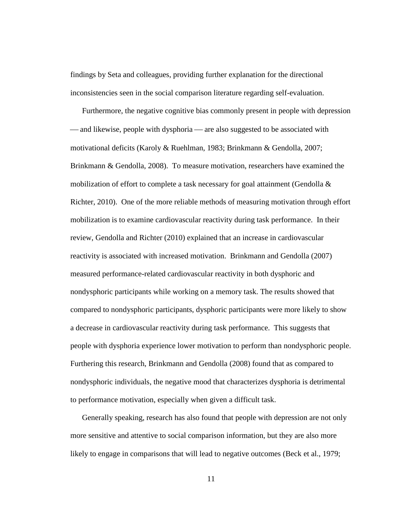findings by Seta and colleagues, providing further explanation for the directional inconsistencies seen in the social comparison literature regarding self-evaluation.

Furthermore, the negative cognitive bias commonly present in people with depression — and likewise, people with dysphoria — are also suggested to be associated with motivational deficits (Karoly & Ruehlman, 1983; Brinkmann & Gendolla, 2007; Brinkmann & Gendolla, 2008). To measure motivation, researchers have examined the mobilization of effort to complete a task necessary for goal attainment (Gendolla  $\&$ Richter, 2010). One of the more reliable methods of measuring motivation through effort mobilization is to examine cardiovascular reactivity during task performance. In their review, Gendolla and Richter (2010) explained that an increase in cardiovascular reactivity is associated with increased motivation. Brinkmann and Gendolla (2007) measured performance-related cardiovascular reactivity in both dysphoric and nondysphoric participants while working on a memory task. The results showed that compared to nondysphoric participants, dysphoric participants were more likely to show a decrease in cardiovascular reactivity during task performance. This suggests that people with dysphoria experience lower motivation to perform than nondysphoric people. Furthering this research, Brinkmann and Gendolla (2008) found that as compared to nondysphoric individuals, the negative mood that characterizes dysphoria is detrimental to performance motivation, especially when given a difficult task.

Generally speaking, research has also found that people with depression are not only more sensitive and attentive to social comparison information, but they are also more likely to engage in comparisons that will lead to negative outcomes (Beck et al., 1979;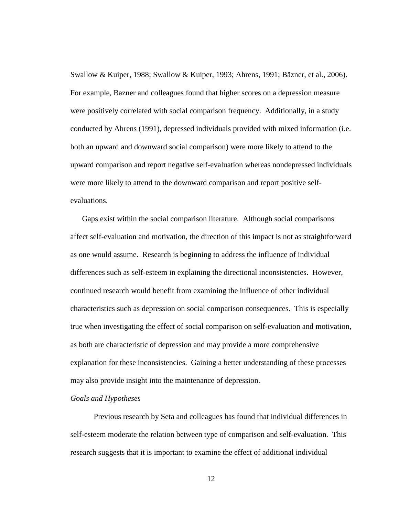Swallow & Kuiper, 1988; Swallow & Kuiper, 1993; Ahrens, 1991; Bäzner, et al., 2006). For example, Bazner and colleagues found that higher scores on a depression measure were positively correlated with social comparison frequency. Additionally, in a study conducted by Ahrens (1991), depressed individuals provided with mixed information (i.e. both an upward and downward social comparison) were more likely to attend to the upward comparison and report negative self-evaluation whereas nondepressed individuals were more likely to attend to the downward comparison and report positive selfevaluations.

Gaps exist within the social comparison literature. Although social comparisons affect self-evaluation and motivation, the direction of this impact is not as straightforward as one would assume. Research is beginning to address the influence of individual differences such as self-esteem in explaining the directional inconsistencies. However, continued research would benefit from examining the influence of other individual characteristics such as depression on social comparison consequences. This is especially true when investigating the effect of social comparison on self-evaluation and motivation, as both are characteristic of depression and may provide a more comprehensive explanation for these inconsistencies. Gaining a better understanding of these processes may also provide insight into the maintenance of depression.

## *Goals and Hypotheses*

Previous research by Seta and colleagues has found that individual differences in self-esteem moderate the relation between type of comparison and self-evaluation. This research suggests that it is important to examine the effect of additional individual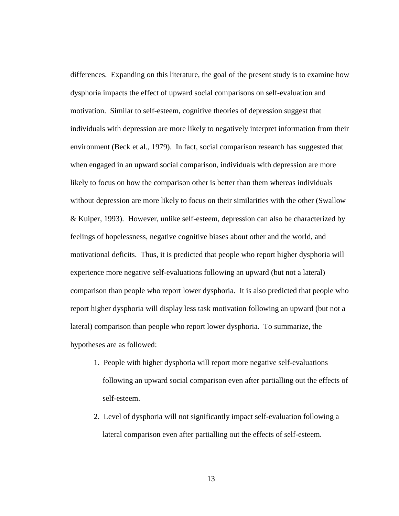differences. Expanding on this literature, the goal of the present study is to examine how dysphoria impacts the effect of upward social comparisons on self-evaluation and motivation. Similar to self-esteem, cognitive theories of depression suggest that individuals with depression are more likely to negatively interpret information from their environment (Beck et al., 1979). In fact, social comparison research has suggested that when engaged in an upward social comparison, individuals with depression are more likely to focus on how the comparison other is better than them whereas individuals without depression are more likely to focus on their similarities with the other (Swallow & Kuiper, 1993). However, unlike self-esteem, depression can also be characterized by feelings of hopelessness, negative cognitive biases about other and the world, and motivational deficits. Thus, it is predicted that people who report higher dysphoria will experience more negative self-evaluations following an upward (but not a lateral) comparison than people who report lower dysphoria. It is also predicted that people who report higher dysphoria will display less task motivation following an upward (but not a lateral) comparison than people who report lower dysphoria. To summarize, the hypotheses are as followed:

- 1. People with higher dysphoria will report more negative self-evaluations following an upward social comparison even after partialling out the effects of self-esteem.
- 2. Level of dysphoria will not significantly impact self-evaluation following a lateral comparison even after partialling out the effects of self-esteem.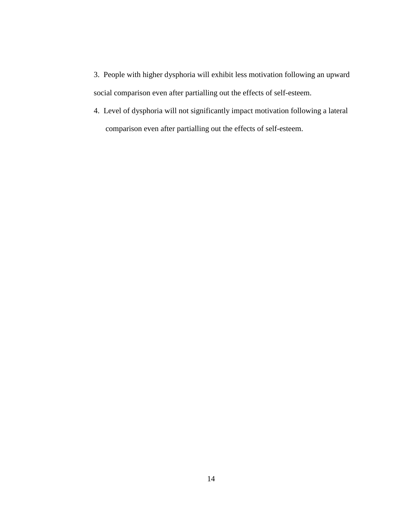- 3. People with higher dysphoria will exhibit less motivation following an upward social comparison even after partialling out the effects of self-esteem.
- 4. Level of dysphoria will not significantly impact motivation following a lateral comparison even after partialling out the effects of self-esteem.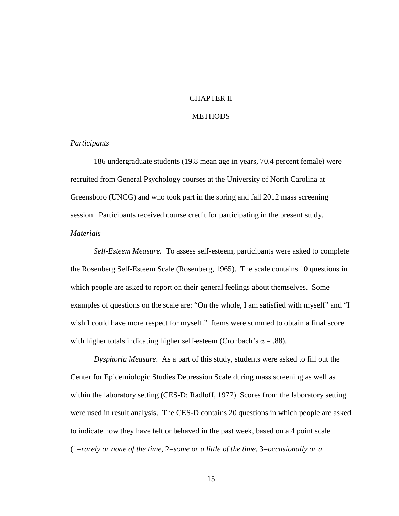## CHAPTER II

## **METHODS**

## *Participants*

186 undergraduate students (19.8 mean age in years, 70.4 percent female) were recruited from General Psychology courses at the University of North Carolina at Greensboro (UNCG) and who took part in the spring and fall 2012 mass screening session. Participants received course credit for participating in the present study. *Materials* 

 *Self-Esteem Measure.* To assess self-esteem, participants were asked to complete the Rosenberg Self-Esteem Scale (Rosenberg, 1965). The scale contains 10 questions in which people are asked to report on their general feelings about themselves. Some examples of questions on the scale are: "On the whole, I am satisfied with myself" and "I wish I could have more respect for myself." Items were summed to obtain a final score with higher totals indicating higher self-esteem (Cronbach's  $\alpha = .88$ ).

*Dysphoria Measure.* As a part of this study, students were asked to fill out the Center for Epidemiologic Studies Depression Scale during mass screening as well as within the laboratory setting (CES-D: Radloff, 1977). Scores from the laboratory setting were used in result analysis. The CES-D contains 20 questions in which people are asked to indicate how they have felt or behaved in the past week, based on a 4 point scale (1=*rarely or none of the time*, 2=*some or a little of the time*, 3=*occasionally or a*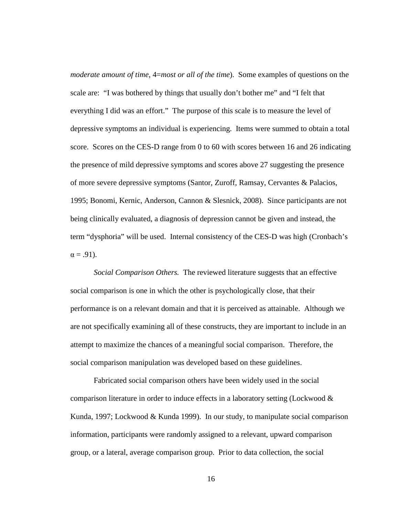*moderate amount of time*, 4=*most or all of the time*). Some examples of questions on the scale are: "I was bothered by things that usually don't bother me" and "I felt that everything I did was an effort." The purpose of this scale is to measure the level of depressive symptoms an individual is experiencing. Items were summed to obtain a total score. Scores on the CES-D range from 0 to 60 with scores between 16 and 26 indicating the presence of mild depressive symptoms and scores above 27 suggesting the presence of more severe depressive symptoms (Santor, Zuroff, Ramsay, Cervantes & Palacios, 1995; Bonomi, Kernic, Anderson, Cannon & Slesnick, 2008). Since participants are not being clinically evaluated, a diagnosis of depression cannot be given and instead, the term "dysphoria" will be used. Internal consistency of the CES-D was high (Cronbach's  $\alpha = .91$ ).

 *Social Comparison Others.* The reviewed literature suggests that an effective social comparison is one in which the other is psychologically close, that their performance is on a relevant domain and that it is perceived as attainable. Although we are not specifically examining all of these constructs, they are important to include in an attempt to maximize the chances of a meaningful social comparison. Therefore, the social comparison manipulation was developed based on these guidelines.

Fabricated social comparison others have been widely used in the social comparison literature in order to induce effects in a laboratory setting (Lockwood  $\&$ Kunda, 1997; Lockwood & Kunda 1999). In our study, to manipulate social comparison information, participants were randomly assigned to a relevant, upward comparison group, or a lateral, average comparison group. Prior to data collection, the social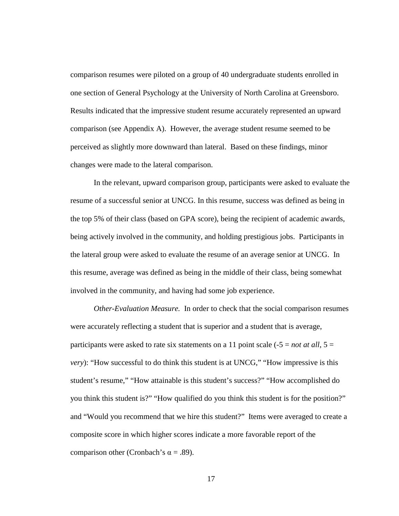comparison resumes were piloted on a group of 40 undergraduate students enrolled in one section of General Psychology at the University of North Carolina at Greensboro. Results indicated that the impressive student resume accurately represented an upward comparison (see Appendix A). However, the average student resume seemed to be perceived as slightly more downward than lateral. Based on these findings, minor changes were made to the lateral comparison.

In the relevant, upward comparison group, participants were asked to evaluate the resume of a successful senior at UNCG. In this resume, success was defined as being in the top 5% of their class (based on GPA score), being the recipient of academic awards, being actively involved in the community, and holding prestigious jobs. Participants in the lateral group were asked to evaluate the resume of an average senior at UNCG. In this resume, average was defined as being in the middle of their class, being somewhat involved in the community, and having had some job experience.

*Other-Evaluation Measure.* In order to check that the social comparison resumes were accurately reflecting a student that is superior and a student that is average, participants were asked to rate six statements on a 11 point scale  $(-5 = not at all, 5 =$ *very*): "How successful to do think this student is at UNCG," "How impressive is this student's resume," "How attainable is this student's success?" "How accomplished do you think this student is?" "How qualified do you think this student is for the position?" and "Would you recommend that we hire this student?" Items were averaged to create a composite score in which higher scores indicate a more favorable report of the comparison other (Cronbach's  $\alpha = .89$ ).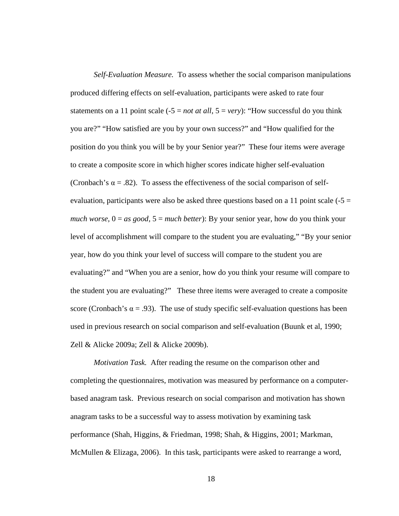*Self-Evaluation Measure.* To assess whether the social comparison manipulations produced differing effects on self-evaluation, participants were asked to rate four statements on a 11 point scale  $(-5 = not at all, 5 = very)$ : "How successful do you think you are?" "How satisfied are you by your own success?" and "How qualified for the position do you think you will be by your Senior year?" These four items were average to create a composite score in which higher scores indicate higher self-evaluation (Cronbach's  $\alpha$  = .82). To assess the effectiveness of the social comparison of selfevaluation, participants were also be asked three questions based on a 11 point scale  $(-5 =$ *much worse,* 0 = *as good,* 5 = *much better*): By your senior year, how do you think your level of accomplishment will compare to the student you are evaluating," "By your senior year, how do you think your level of success will compare to the student you are evaluating?" and "When you are a senior, how do you think your resume will compare to the student you are evaluating?" These three items were averaged to create a composite score (Cronbach's  $\alpha = .93$ ). The use of study specific self-evaluation questions has been used in previous research on social comparison and self-evaluation (Buunk et al, 1990; Zell & Alicke 2009a; Zell & Alicke 2009b).

*Motivation Task.* After reading the resume on the comparison other and completing the questionnaires, motivation was measured by performance on a computerbased anagram task. Previous research on social comparison and motivation has shown anagram tasks to be a successful way to assess motivation by examining task performance (Shah, Higgins, & Friedman, 1998; Shah, & Higgins, 2001; Markman, McMullen & Elizaga, 2006). In this task, participants were asked to rearrange a word,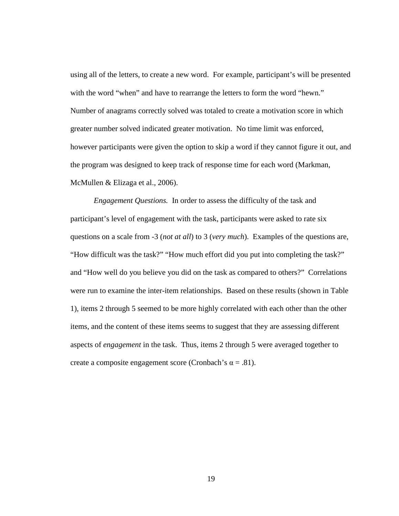using all of the letters, to create a new word. For example, participant's will be presented with the word "when" and have to rearrange the letters to form the word "hewn." Number of anagrams correctly solved was totaled to create a motivation score in which greater number solved indicated greater motivation. No time limit was enforced, however participants were given the option to skip a word if they cannot figure it out, and the program was designed to keep track of response time for each word (Markman, McMullen & Elizaga et al., 2006).

*Engagement Questions.* In order to assess the difficulty of the task and participant's level of engagement with the task, participants were asked to rate six questions on a scale from -3 (*not at all*) to 3 (*very much*). Examples of the questions are, "How difficult was the task?" "How much effort did you put into completing the task?" and "How well do you believe you did on the task as compared to others?" Correlations were run to examine the inter-item relationships. Based on these results (shown in Table 1), items 2 through 5 seemed to be more highly correlated with each other than the other items, and the content of these items seems to suggest that they are assessing different aspects of *engagement* in the task. Thus, items 2 through 5 were averaged together to create a composite engagement score (Cronbach's  $\alpha = .81$ ).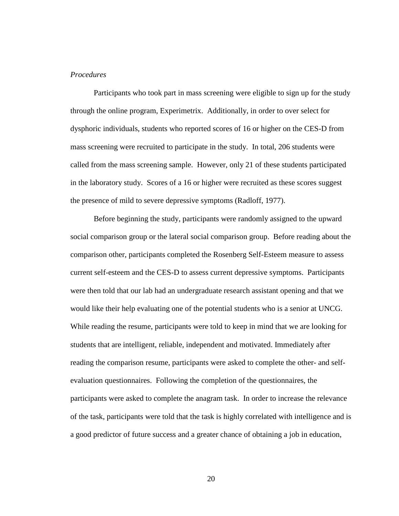### *Procedures*

 Participants who took part in mass screening were eligible to sign up for the study through the online program, Experimetrix. Additionally, in order to over select for dysphoric individuals, students who reported scores of 16 or higher on the CES-D from mass screening were recruited to participate in the study. In total, 206 students were called from the mass screening sample. However, only 21 of these students participated in the laboratory study. Scores of a 16 or higher were recruited as these scores suggest the presence of mild to severe depressive symptoms (Radloff, 1977).

Before beginning the study, participants were randomly assigned to the upward social comparison group or the lateral social comparison group. Before reading about the comparison other, participants completed the Rosenberg Self-Esteem measure to assess current self-esteem and the CES-D to assess current depressive symptoms. Participants were then told that our lab had an undergraduate research assistant opening and that we would like their help evaluating one of the potential students who is a senior at UNCG. While reading the resume, participants were told to keep in mind that we are looking for students that are intelligent, reliable, independent and motivated. Immediately after reading the comparison resume, participants were asked to complete the other- and selfevaluation questionnaires. Following the completion of the questionnaires, the participants were asked to complete the anagram task. In order to increase the relevance of the task, participants were told that the task is highly correlated with intelligence and is a good predictor of future success and a greater chance of obtaining a job in education,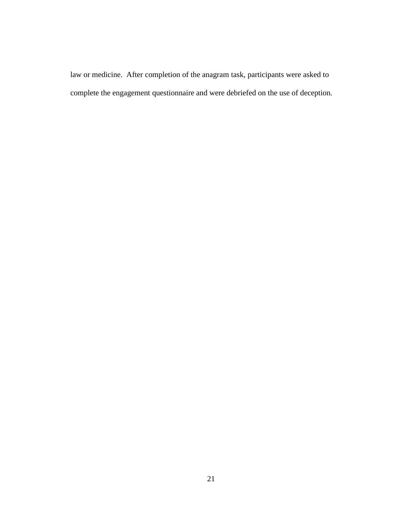law or medicine. After completion of the anagram task, participants were asked to complete the engagement questionnaire and were debriefed on the use of deception.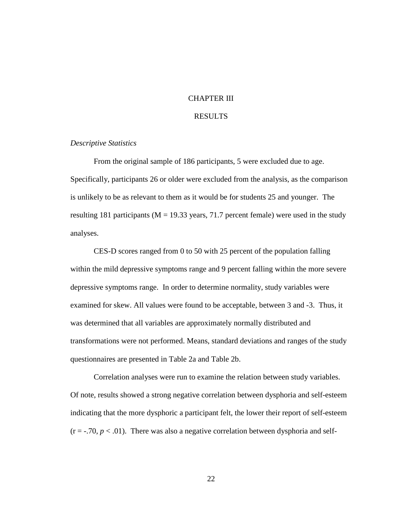## CHAPTER III

## RESULTS

## *Descriptive Statistics*

From the original sample of 186 participants, 5 were excluded due to age. Specifically, participants 26 or older were excluded from the analysis, as the comparison is unlikely to be as relevant to them as it would be for students 25 and younger. The resulting 181 participants ( $M = 19.33$  years, 71.7 percent female) were used in the study analyses.

CES-D scores ranged from 0 to 50 with 25 percent of the population falling within the mild depressive symptoms range and 9 percent falling within the more severe depressive symptoms range. In order to determine normality, study variables were examined for skew. All values were found to be acceptable, between 3 and -3. Thus, it was determined that all variables are approximately normally distributed and transformations were not performed. Means, standard deviations and ranges of the study questionnaires are presented in Table 2a and Table 2b.

 Correlation analyses were run to examine the relation between study variables. Of note, results showed a strong negative correlation between dysphoria and self-esteem indicating that the more dysphoric a participant felt, the lower their report of self-esteem  $(r = -.70, p < .01)$ . There was also a negative correlation between dysphoria and self-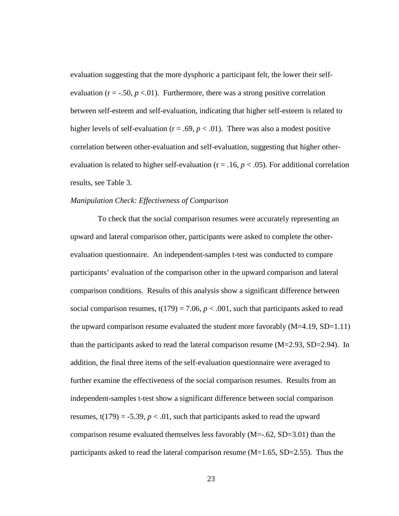evaluation suggesting that the more dysphoric a participant felt, the lower their selfevaluation ( $r = -.50, p < .01$ ). Furthermore, there was a strong positive correlation between self-esteem and self-evaluation, indicating that higher self-esteem is related to higher levels of self-evaluation ( $r = .69$ ,  $p < .01$ ). There was also a modest positive correlation between other-evaluation and self-evaluation, suggesting that higher otherevaluation is related to higher self-evaluation ( $r = .16$ ,  $p < .05$ ). For additional correlation results, see Table 3.

### *Manipulation Check: Effectiveness of Comparison*

To check that the social comparison resumes were accurately representing an upward and lateral comparison other, participants were asked to complete the otherevaluation questionnaire. An independent-samples t-test was conducted to compare participants' evaluation of the comparison other in the upward comparison and lateral comparison conditions. Results of this analysis show a significant difference between social comparison resumes,  $t(179) = 7.06$ ,  $p < .001$ , such that participants asked to read the upward comparison resume evaluated the student more favorably  $(M=4.19, SD=1.11)$ than the participants asked to read the lateral comparison resume  $(M=2.93, SD=2.94)$ . In addition, the final three items of the self-evaluation questionnaire were averaged to further examine the effectiveness of the social comparison resumes. Results from an independent-samples t-test show a significant difference between social comparison resumes,  $t(179) = -5.39$ ,  $p < .01$ , such that participants asked to read the upward comparison resume evaluated themselves less favorably  $(M=-.62, SD=3.01)$  than the participants asked to read the lateral comparison resume  $(M=1.65, SD=2.55)$ . Thus the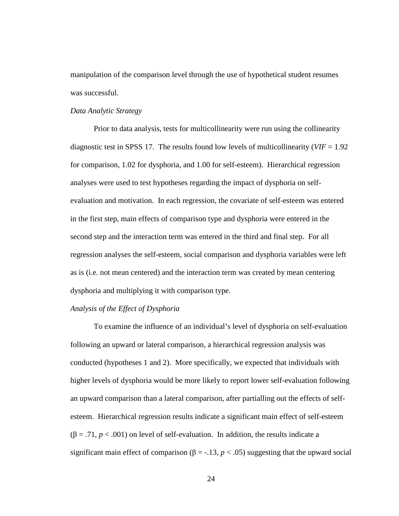manipulation of the comparison level through the use of hypothetical student resumes was successful.

## *Data Analytic Strategy*

Prior to data analysis, tests for multicollinearity were run using the collinearity diagnostic test in SPSS 17. The results found low levels of multicollinearity (*VIF* = 1.92 for comparison, 1.02 for dysphoria, and 1.00 for self-esteem). Hierarchical regression analyses were used to test hypotheses regarding the impact of dysphoria on selfevaluation and motivation. In each regression, the covariate of self-esteem was entered in the first step, main effects of comparison type and dysphoria were entered in the second step and the interaction term was entered in the third and final step. For all regression analyses the self-esteem, social comparison and dysphoria variables were left as is (i.e. not mean centered) and the interaction term was created by mean centering dysphoria and multiplying it with comparison type.

## *Analysis of the Effect of Dysphoria*

 To examine the influence of an individual's level of dysphoria on self-evaluation following an upward or lateral comparison, a hierarchical regression analysis was conducted (hypotheses 1 and 2). More specifically, we expected that individuals with higher levels of dysphoria would be more likely to report lower self-evaluation following an upward comparison than a lateral comparison, after partialling out the effects of selfesteem. Hierarchical regression results indicate a significant main effect of self-esteem  $(\beta = .71, p < .001)$  on level of self-evaluation. In addition, the results indicate a significant main effect of comparison ( $\beta$  = -.13, *p* < .05) suggesting that the upward social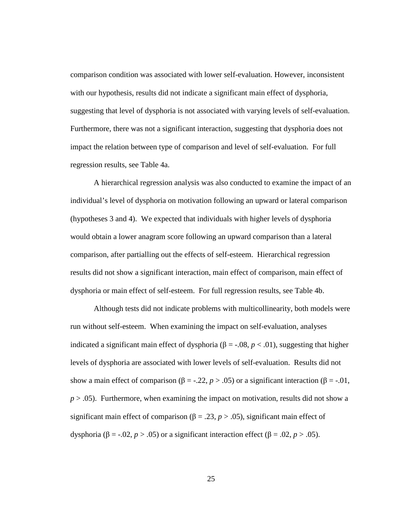comparison condition was associated with lower self-evaluation. However, inconsistent with our hypothesis, results did not indicate a significant main effect of dysphoria, suggesting that level of dysphoria is not associated with varying levels of self-evaluation. Furthermore, there was not a significant interaction, suggesting that dysphoria does not impact the relation between type of comparison and level of self-evaluation. For full regression results, see Table 4a.

 A hierarchical regression analysis was also conducted to examine the impact of an individual's level of dysphoria on motivation following an upward or lateral comparison (hypotheses 3 and 4). We expected that individuals with higher levels of dysphoria would obtain a lower anagram score following an upward comparison than a lateral comparison, after partialling out the effects of self-esteem. Hierarchical regression results did not show a significant interaction, main effect of comparison, main effect of dysphoria or main effect of self-esteem. For full regression results, see Table 4b.

Although tests did not indicate problems with multicollinearity, both models were run without self-esteem. When examining the impact on self-evaluation, analyses indicated a significant main effect of dysphoria (β = -.08,  $p$  < .01), suggesting that higher levels of dysphoria are associated with lower levels of self-evaluation. Results did not show a main effect of comparison ( $\beta = -0.22$ ,  $p > 0.05$ ) or a significant interaction ( $\beta = -0.01$ ,  $p > .05$ ). Furthermore, when examining the impact on motivation, results did not show a significant main effect of comparison ( $\beta = .23$ ,  $p > .05$ ), significant main effect of dysphoria ( $\beta$  = -.02, *p* > .05) or a significant interaction effect ( $\beta$  = .02, *p* > .05).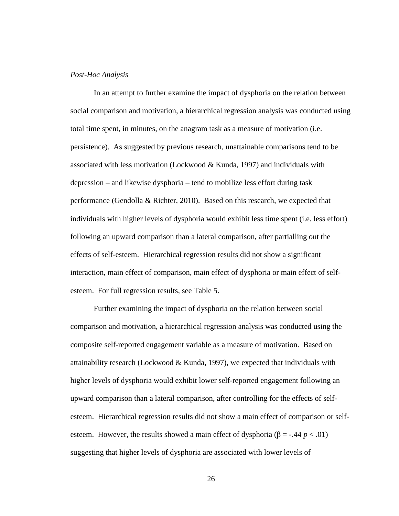## *Post-Hoc Analysis*

In an attempt to further examine the impact of dysphoria on the relation between social comparison and motivation, a hierarchical regression analysis was conducted using total time spent, in minutes, on the anagram task as a measure of motivation (i.e. persistence). As suggested by previous research, unattainable comparisons tend to be associated with less motivation (Lockwood & Kunda, 1997) and individuals with depression – and likewise dysphoria – tend to mobilize less effort during task performance (Gendolla & Richter, 2010). Based on this research, we expected that individuals with higher levels of dysphoria would exhibit less time spent (i.e. less effort) following an upward comparison than a lateral comparison, after partialling out the effects of self-esteem. Hierarchical regression results did not show a significant interaction, main effect of comparison, main effect of dysphoria or main effect of selfesteem. For full regression results, see Table 5.

Further examining the impact of dysphoria on the relation between social comparison and motivation, a hierarchical regression analysis was conducted using the composite self-reported engagement variable as a measure of motivation. Based on attainability research (Lockwood & Kunda, 1997), we expected that individuals with higher levels of dysphoria would exhibit lower self-reported engagement following an upward comparison than a lateral comparison, after controlling for the effects of selfesteem. Hierarchical regression results did not show a main effect of comparison or selfesteem. However, the results showed a main effect of dysphoria ( $\beta$  = -.44 *p* < .01) suggesting that higher levels of dysphoria are associated with lower levels of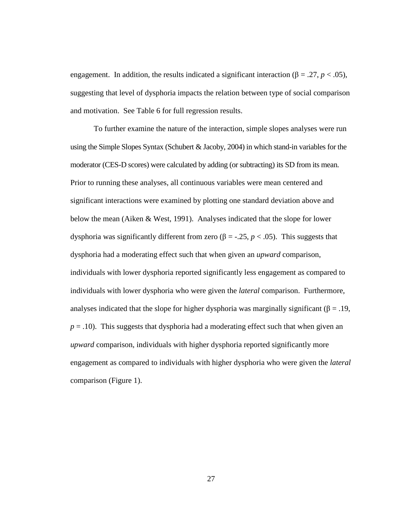engagement. In addition, the results indicated a significant interaction ( $\beta = .27$ ,  $p < .05$ ), suggesting that level of dysphoria impacts the relation between type of social comparison and motivation. See Table 6 for full regression results.

To further examine the nature of the interaction, simple slopes analyses were run using the Simple Slopes Syntax (Schubert & Jacoby, 2004) in which stand-in variables for the moderator (CES-D scores) were calculated by adding (or subtracting) its SD from its mean. Prior to running these analyses, all continuous variables were mean centered and significant interactions were examined by plotting one standard deviation above and below the mean (Aiken & West, 1991). Analyses indicated that the slope for lower dysphoria was significantly different from zero (β = -.25,  $p < .05$ ). This suggests that dysphoria had a moderating effect such that when given an *upward* comparison, individuals with lower dysphoria reported significantly less engagement as compared to individuals with lower dysphoria who were given the *lateral* comparison. Furthermore, analyses indicated that the slope for higher dysphoria was marginally significant ( $\beta = .19$ ,  $p = .10$ ). This suggests that dysphoria had a moderating effect such that when given an *upward* comparison, individuals with higher dysphoria reported significantly more engagement as compared to individuals with higher dysphoria who were given the *lateral*  comparison (Figure 1).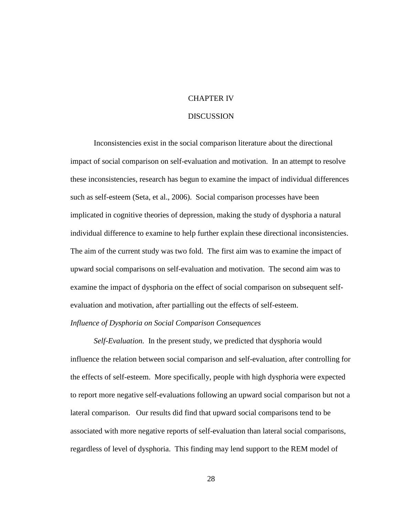## CHAPTER IV

### **DISCUSSION**

Inconsistencies exist in the social comparison literature about the directional impact of social comparison on self-evaluation and motivation. In an attempt to resolve these inconsistencies, research has begun to examine the impact of individual differences such as self-esteem (Seta, et al., 2006). Social comparison processes have been implicated in cognitive theories of depression, making the study of dysphoria a natural individual difference to examine to help further explain these directional inconsistencies. The aim of the current study was two fold. The first aim was to examine the impact of upward social comparisons on self-evaluation and motivation. The second aim was to examine the impact of dysphoria on the effect of social comparison on subsequent selfevaluation and motivation, after partialling out the effects of self-esteem. *Influence of Dysphoria on Social Comparison Consequences* 

*Self-Evaluation.* In the present study, we predicted that dysphoria would influence the relation between social comparison and self-evaluation, after controlling for the effects of self-esteem. More specifically, people with high dysphoria were expected to report more negative self-evaluations following an upward social comparison but not a lateral comparison. Our results did find that upward social comparisons tend to be associated with more negative reports of self-evaluation than lateral social comparisons, regardless of level of dysphoria. This finding may lend support to the REM model of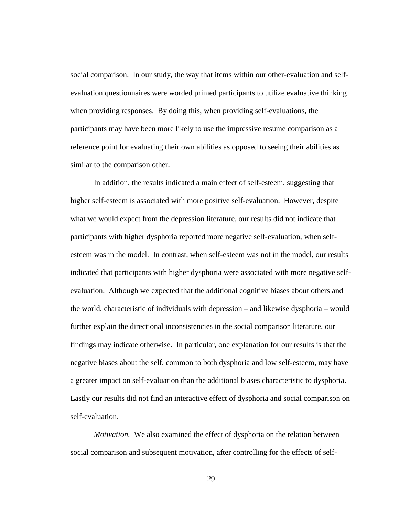social comparison. In our study, the way that items within our other-evaluation and selfevaluation questionnaires were worded primed participants to utilize evaluative thinking when providing responses. By doing this, when providing self-evaluations, the participants may have been more likely to use the impressive resume comparison as a reference point for evaluating their own abilities as opposed to seeing their abilities as similar to the comparison other.

In addition, the results indicated a main effect of self-esteem, suggesting that higher self-esteem is associated with more positive self-evaluation. However, despite what we would expect from the depression literature, our results did not indicate that participants with higher dysphoria reported more negative self-evaluation, when selfesteem was in the model. In contrast, when self-esteem was not in the model, our results indicated that participants with higher dysphoria were associated with more negative selfevaluation. Although we expected that the additional cognitive biases about others and the world, characteristic of individuals with depression – and likewise dysphoria – would further explain the directional inconsistencies in the social comparison literature, our findings may indicate otherwise. In particular, one explanation for our results is that the negative biases about the self, common to both dysphoria and low self-esteem, may have a greater impact on self-evaluation than the additional biases characteristic to dysphoria. Lastly our results did not find an interactive effect of dysphoria and social comparison on self-evaluation.

*Motivation.* We also examined the effect of dysphoria on the relation between social comparison and subsequent motivation, after controlling for the effects of self-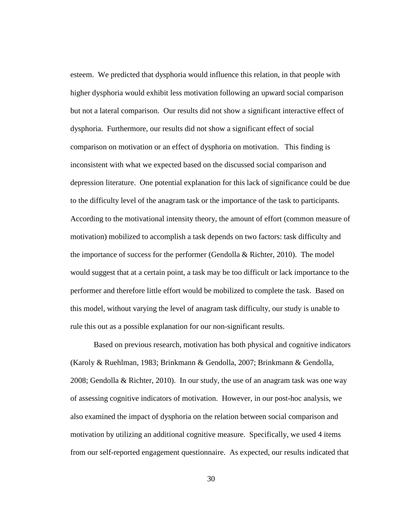esteem. We predicted that dysphoria would influence this relation, in that people with higher dysphoria would exhibit less motivation following an upward social comparison but not a lateral comparison. Our results did not show a significant interactive effect of dysphoria. Furthermore, our results did not show a significant effect of social comparison on motivation or an effect of dysphoria on motivation. This finding is inconsistent with what we expected based on the discussed social comparison and depression literature. One potential explanation for this lack of significance could be due to the difficulty level of the anagram task or the importance of the task to participants. According to the motivational intensity theory, the amount of effort (common measure of motivation) mobilized to accomplish a task depends on two factors: task difficulty and the importance of success for the performer (Gendolla & Richter, 2010). The model would suggest that at a certain point, a task may be too difficult or lack importance to the performer and therefore little effort would be mobilized to complete the task. Based on this model, without varying the level of anagram task difficulty, our study is unable to rule this out as a possible explanation for our non-significant results.

 Based on previous research, motivation has both physical and cognitive indicators (Karoly & Ruehlman, 1983; Brinkmann & Gendolla, 2007; Brinkmann & Gendolla, 2008; Gendolla & Richter, 2010). In our study, the use of an anagram task was one way of assessing cognitive indicators of motivation. However, in our post-hoc analysis, we also examined the impact of dysphoria on the relation between social comparison and motivation by utilizing an additional cognitive measure. Specifically, we used 4 items from our self-reported engagement questionnaire. As expected, our results indicated that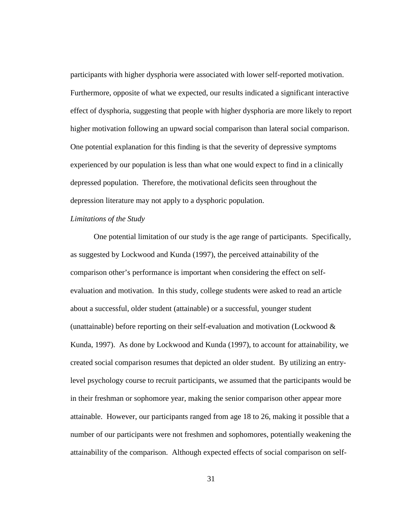participants with higher dysphoria were associated with lower self-reported motivation. Furthermore, opposite of what we expected, our results indicated a significant interactive effect of dysphoria, suggesting that people with higher dysphoria are more likely to report higher motivation following an upward social comparison than lateral social comparison. One potential explanation for this finding is that the severity of depressive symptoms experienced by our population is less than what one would expect to find in a clinically depressed population. Therefore, the motivational deficits seen throughout the depression literature may not apply to a dysphoric population.

## *Limitations of the Study*

One potential limitation of our study is the age range of participants. Specifically, as suggested by Lockwood and Kunda (1997), the perceived attainability of the comparison other's performance is important when considering the effect on selfevaluation and motivation. In this study, college students were asked to read an article about a successful, older student (attainable) or a successful, younger student (unattainable) before reporting on their self-evaluation and motivation (Lockwood & Kunda, 1997). As done by Lockwood and Kunda (1997), to account for attainability, we created social comparison resumes that depicted an older student. By utilizing an entrylevel psychology course to recruit participants, we assumed that the participants would be in their freshman or sophomore year, making the senior comparison other appear more attainable. However, our participants ranged from age 18 to 26, making it possible that a number of our participants were not freshmen and sophomores, potentially weakening the attainability of the comparison. Although expected effects of social comparison on self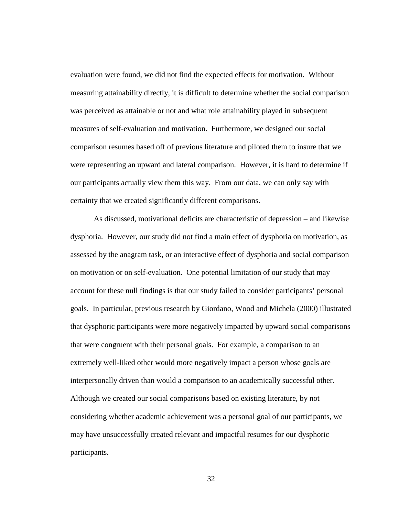evaluation were found, we did not find the expected effects for motivation. Without measuring attainability directly, it is difficult to determine whether the social comparison was perceived as attainable or not and what role attainability played in subsequent measures of self-evaluation and motivation. Furthermore, we designed our social comparison resumes based off of previous literature and piloted them to insure that we were representing an upward and lateral comparison. However, it is hard to determine if our participants actually view them this way. From our data, we can only say with certainty that we created significantly different comparisons.

 As discussed, motivational deficits are characteristic of depression – and likewise dysphoria. However, our study did not find a main effect of dysphoria on motivation, as assessed by the anagram task, or an interactive effect of dysphoria and social comparison on motivation or on self-evaluation. One potential limitation of our study that may account for these null findings is that our study failed to consider participants' personal goals. In particular, previous research by Giordano, Wood and Michela (2000) illustrated that dysphoric participants were more negatively impacted by upward social comparisons that were congruent with their personal goals. For example, a comparison to an extremely well-liked other would more negatively impact a person whose goals are interpersonally driven than would a comparison to an academically successful other. Although we created our social comparisons based on existing literature, by not considering whether academic achievement was a personal goal of our participants, we may have unsuccessfully created relevant and impactful resumes for our dysphoric participants.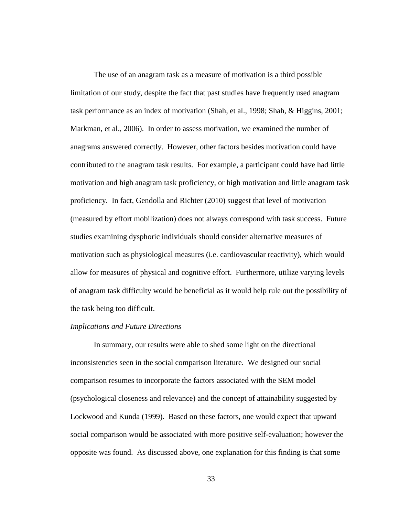The use of an anagram task as a measure of motivation is a third possible limitation of our study, despite the fact that past studies have frequently used anagram task performance as an index of motivation (Shah, et al., 1998; Shah, & Higgins, 2001; Markman, et al., 2006). In order to assess motivation, we examined the number of anagrams answered correctly. However, other factors besides motivation could have contributed to the anagram task results. For example, a participant could have had little motivation and high anagram task proficiency, or high motivation and little anagram task proficiency. In fact, Gendolla and Richter (2010) suggest that level of motivation (measured by effort mobilization) does not always correspond with task success. Future studies examining dysphoric individuals should consider alternative measures of motivation such as physiological measures (i.e. cardiovascular reactivity), which would allow for measures of physical and cognitive effort. Furthermore, utilize varying levels of anagram task difficulty would be beneficial as it would help rule out the possibility of the task being too difficult.

### *Implications and Future Directions*

 In summary, our results were able to shed some light on the directional inconsistencies seen in the social comparison literature. We designed our social comparison resumes to incorporate the factors associated with the SEM model (psychological closeness and relevance) and the concept of attainability suggested by Lockwood and Kunda (1999). Based on these factors, one would expect that upward social comparison would be associated with more positive self-evaluation; however the opposite was found. As discussed above, one explanation for this finding is that some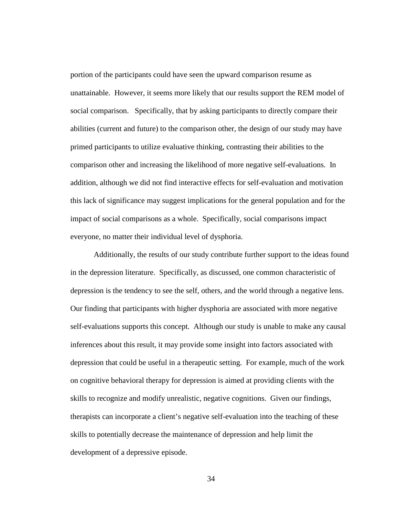portion of the participants could have seen the upward comparison resume as unattainable. However, it seems more likely that our results support the REM model of social comparison. Specifically, that by asking participants to directly compare their abilities (current and future) to the comparison other, the design of our study may have primed participants to utilize evaluative thinking, contrasting their abilities to the comparison other and increasing the likelihood of more negative self-evaluations. In addition, although we did not find interactive effects for self-evaluation and motivation this lack of significance may suggest implications for the general population and for the impact of social comparisons as a whole. Specifically, social comparisons impact everyone, no matter their individual level of dysphoria.

Additionally, the results of our study contribute further support to the ideas found in the depression literature. Specifically, as discussed, one common characteristic of depression is the tendency to see the self, others, and the world through a negative lens. Our finding that participants with higher dysphoria are associated with more negative self-evaluations supports this concept. Although our study is unable to make any causal inferences about this result, it may provide some insight into factors associated with depression that could be useful in a therapeutic setting. For example, much of the work on cognitive behavioral therapy for depression is aimed at providing clients with the skills to recognize and modify unrealistic, negative cognitions. Given our findings, therapists can incorporate a client's negative self-evaluation into the teaching of these skills to potentially decrease the maintenance of depression and help limit the development of a depressive episode.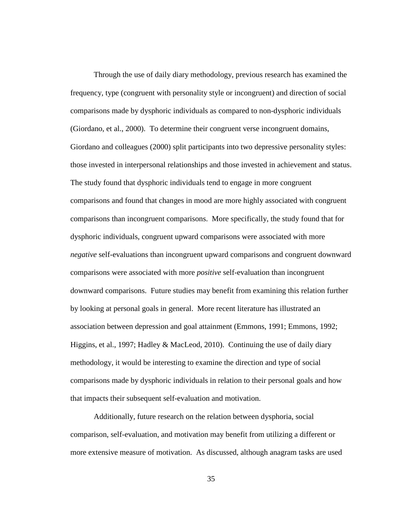Through the use of daily diary methodology, previous research has examined the frequency, type (congruent with personality style or incongruent) and direction of social comparisons made by dysphoric individuals as compared to non-dysphoric individuals (Giordano, et al., 2000). To determine their congruent verse incongruent domains, Giordano and colleagues (2000) split participants into two depressive personality styles: those invested in interpersonal relationships and those invested in achievement and status. The study found that dysphoric individuals tend to engage in more congruent comparisons and found that changes in mood are more highly associated with congruent comparisons than incongruent comparisons. More specifically, the study found that for dysphoric individuals, congruent upward comparisons were associated with more *negative* self-evaluations than incongruent upward comparisons and congruent downward comparisons were associated with more *positive* self-evaluation than incongruent downward comparisons. Future studies may benefit from examining this relation further by looking at personal goals in general. More recent literature has illustrated an association between depression and goal attainment (Emmons, 1991; Emmons, 1992; Higgins, et al., 1997; Hadley & MacLeod, 2010). Continuing the use of daily diary methodology, it would be interesting to examine the direction and type of social comparisons made by dysphoric individuals in relation to their personal goals and how that impacts their subsequent self-evaluation and motivation.

 Additionally, future research on the relation between dysphoria, social comparison, self-evaluation, and motivation may benefit from utilizing a different or more extensive measure of motivation. As discussed, although anagram tasks are used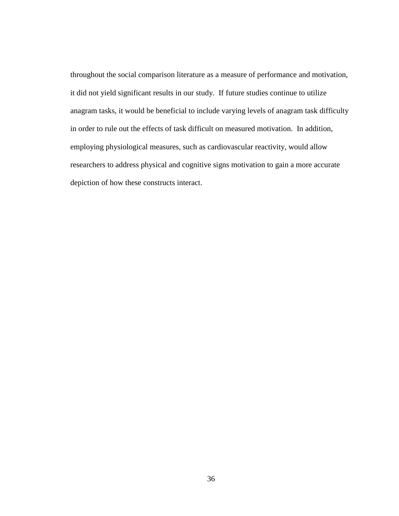throughout the social comparison literature as a measure of performance and motivation, it did not yield significant results in our study. If future studies continue to utilize anagram tasks, it would be beneficial to include varying levels of anagram task difficulty in order to rule out the effects of task difficult on measured motivation. In addition, employing physiological measures, such as cardiovascular reactivity, would allow researchers to address physical and cognitive signs motivation to gain a more accurate depiction of how these constructs interact.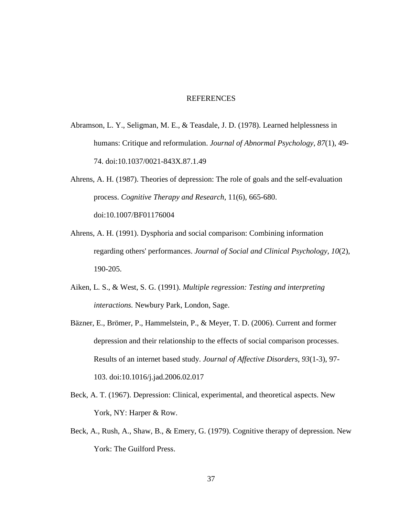### REFERENCES

- Abramson, L. Y., Seligman, M. E., & Teasdale, J. D. (1978). Learned helplessness in humans: Critique and reformulation. *Journal of Abnormal Psychology*, *87*(1), 49- 74. doi:10.1037/0021-843X.87.1.49
- Ahrens, A. H. (1987). Theories of depression: The role of goals and the self-evaluation process. *Cognitive Therapy and Research*, 11(6), 665-680. doi:10.1007/BF01176004
- Ahrens, A. H. (1991). Dysphoria and social comparison: Combining information regarding others' performances. *Journal of Social and Clinical Psychology*, *10*(2), 190-205.
- Aiken, L. S., & West, S. G. (1991). *Multiple regression: Testing and interpreting interactions.* Newbury Park, London, Sage.
- Bäzner, E., Brömer, P., Hammelstein, P., & Meyer, T. D. (2006). Current and former depression and their relationship to the effects of social comparison processes. Results of an internet based study. *Journal of Affective Disorders*, *93*(1-3), 97- 103. doi:10.1016/j.jad.2006.02.017
- Beck, A. T. (1967). Depression: Clinical, experimental, and theoretical aspects. New York, NY: Harper & Row.
- Beck, A., Rush, A., Shaw, B., & Emery, G. (1979). Cognitive therapy of depression. New York: The Guilford Press.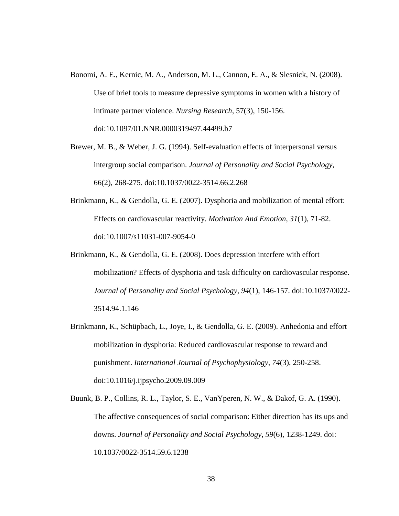- Bonomi, A. E., Kernic, M. A., Anderson, M. L., Cannon, E. A., & Slesnick, N. (2008). Use of brief tools to measure depressive symptoms in women with a history of intimate partner violence. *Nursing Research*, 57(3), 150-156. doi:10.1097/01.NNR.0000319497.44499.b7
- Brewer, M. B., & Weber, J. G. (1994). Self-evaluation effects of interpersonal versus intergroup social comparison. *Journal of Personality and Social Psychology*, 66(2), 268-275. doi:10.1037/0022-3514.66.2.268
- Brinkmann, K., & Gendolla, G. E. (2007). Dysphoria and mobilization of mental effort: Effects on cardiovascular reactivity. *Motivation And Emotion*, *31*(1), 71-82. doi:10.1007/s11031-007-9054-0
- Brinkmann, K., & Gendolla, G. E. (2008). Does depression interfere with effort mobilization? Effects of dysphoria and task difficulty on cardiovascular response. *Journal of Personality and Social Psychology*, *94*(1), 146-157. doi:10.1037/0022- 3514.94.1.146
- Brinkmann, K., Schüpbach, L., Joye, I., & Gendolla, G. E. (2009). Anhedonia and effort mobilization in dysphoria: Reduced cardiovascular response to reward and punishment. *International Journal of Psychophysiology*, *74*(3), 250-258. doi:10.1016/j.ijpsycho.2009.09.009
- Buunk, B. P., Collins, R. L., Taylor, S. E., VanYperen, N. W., & Dakof, G. A. (1990). The affective consequences of social comparison: Either direction has its ups and downs. *Journal of Personality and Social Psychology, 59*(6), 1238-1249. doi: 10.1037/0022-3514.59.6.1238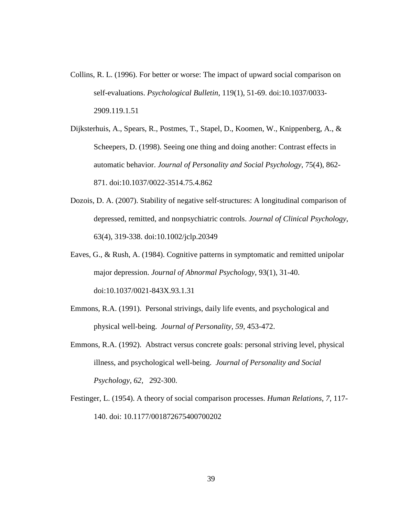- Collins, R. L. (1996). For better or worse: The impact of upward social comparison on self-evaluations. *Psychological Bulletin*, 119(1), 51-69. doi:10.1037/0033- 2909.119.1.51
- Dijksterhuis, A., Spears, R., Postmes, T., Stapel, D., Koomen, W., Knippenberg, A., & Scheepers, D. (1998). Seeing one thing and doing another: Contrast effects in automatic behavior. *Journal of Personality and Social Psychology*, 75(4), 862- 871. doi:10.1037/0022-3514.75.4.862
- Dozois, D. A. (2007). Stability of negative self-structures: A longitudinal comparison of depressed, remitted, and nonpsychiatric controls. *Journal of Clinical Psychology*, 63(4), 319-338. doi:10.1002/jclp.20349
- Eaves, G., & Rush, A. (1984). Cognitive patterns in symptomatic and remitted unipolar major depression. *Journal of Abnormal Psychology*, 93(1), 31-40. doi:10.1037/0021-843X.93.1.31
- Emmons, R.A. (1991). Personal strivings, daily life events, and psychological and physical well-being. *Journal of Personality, 59,* 453-472.
- Emmons, R.A. (1992). Abstract versus concrete goals: personal striving level, physical illness, and psychological well-being. *Journal of Personality and Social Psychology, 62,* 292-300.
- Festinger, L. (1954). A theory of social comparison processes. *Human Relations, 7*, 117- 140. doi: 10.1177/001872675400700202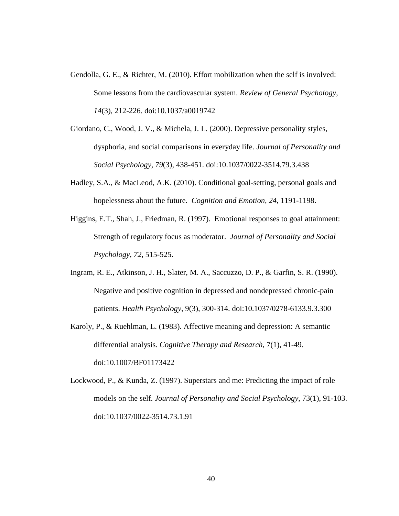- Gendolla, G. E., & Richter, M. (2010). Effort mobilization when the self is involved: Some lessons from the cardiovascular system. *Review of General Psychology*, *14*(3), 212-226. doi:10.1037/a0019742
- Giordano, C., Wood, J. V., & Michela, J. L. (2000). Depressive personality styles, dysphoria, and social comparisons in everyday life. *Journal of Personality and Social Psychology*, *79*(3), 438-451. doi:10.1037/0022-3514.79.3.438
- Hadley, S.A., & MacLeod, A.K. (2010). Conditional goal-setting, personal goals and hopelessness about the future. *Cognition and Emotion, 24,* 1191-1198.
- Higgins, E.T., Shah, J., Friedman, R. (1997). Emotional responses to goal attainment: Strength of regulatory focus as moderator. *Journal of Personality and Social Psychology, 72,* 515-525.
- Ingram, R. E., Atkinson, J. H., Slater, M. A., Saccuzzo, D. P., & Garfin, S. R. (1990). Negative and positive cognition in depressed and nondepressed chronic-pain patients. *Health Psychology*, 9(3), 300-314. doi:10.1037/0278-6133.9.3.300
- Karoly, P., & Ruehlman, L. (1983). Affective meaning and depression: A semantic differential analysis. *Cognitive Therapy and Research*, 7(1), 41-49. doi:10.1007/BF01173422
- Lockwood, P., & Kunda, Z. (1997). Superstars and me: Predicting the impact of role models on the self. *Journal of Personality and Social Psychology*, 73(1), 91-103. doi:10.1037/0022-3514.73.1.91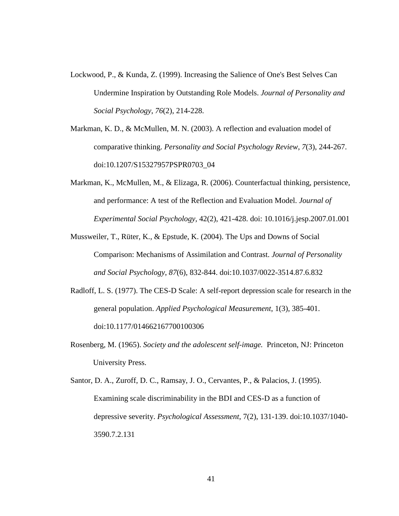- Lockwood, P., & Kunda, Z. (1999). Increasing the Salience of One's Best Selves Can Undermine Inspiration by Outstanding Role Models. *Journal of Personality and Social Psychology*, *76*(2), 214-228.
- Markman, K. D., & McMullen, M. N. (2003). A reflection and evaluation model of comparative thinking. *Personality and Social Psychology Review*, *7*(3), 244-267. doi:10.1207/S15327957PSPR0703\_04
- Markman, K., McMullen, M., & Elizaga, R. (2006). Counterfactual thinking, persistence, and performance: A test of the Reflection and Evaluation Model. *Journal of Experimental Social Psychology,* 42(2), 421-428. doi: 10.1016/j.jesp.2007.01.001
- Mussweiler, T., Rüter, K., & Epstude, K. (2004). The Ups and Downs of Social Comparison: Mechanisms of Assimilation and Contrast. *Journal of Personality and Social Psychology*, *87*(6), 832-844. doi:10.1037/0022-3514.87.6.832
- Radloff, L. S. (1977). The CES-D Scale: A self-report depression scale for research in the general population. *Applied Psychological Measurement*, 1(3), 385-401. doi:10.1177/014662167700100306
- Rosenberg, M. (1965). *Society and the adolescent self-image.* Princeton, NJ: Princeton University Press.
- Santor, D. A., Zuroff, D. C., Ramsay, J. O., Cervantes, P., & Palacios, J. (1995). Examining scale discriminability in the BDI and CES-D as a function of depressive severity. *Psychological Assessment*, 7(2), 131-139. doi:10.1037/1040- 3590.7.2.131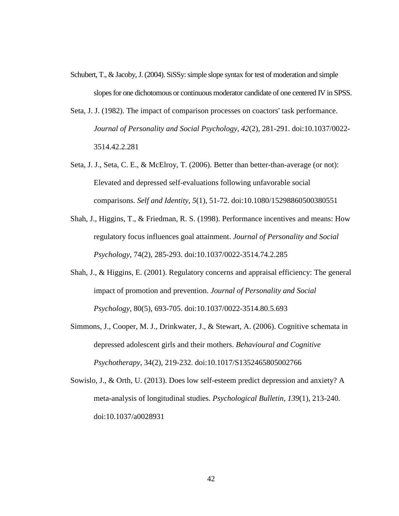- Schubert, T., & Jacoby, J. (2004). SiSSy: simple slope syntax for test of moderation and simple slopes for one dichotomous or continuous moderator candidate of one centered IV in SPSS.
- Seta, J. J. (1982). The impact of comparison processes on coactors' task performance. *Journal of Personality and Social Psychology*, *42*(2), 281-291. doi:10.1037/0022- 3514.42.2.281
- Seta, J. J., Seta, C. E., & McElroy, T. (2006). Better than better-than-average (or not): Elevated and depressed self-evaluations following unfavorable social comparisons. *Self and Identity*, *5*(1), 51-72. doi:10.1080/15298860500380551
- Shah, J., Higgins, T., & Friedman, R. S. (1998). Performance incentives and means: How regulatory focus influences goal attainment. *Journal of Personality and Social Psychology*, 74(2), 285-293. doi:10.1037/0022-3514.74.2.285
- Shah, J., & Higgins, E. (2001). Regulatory concerns and appraisal efficiency: The general impact of promotion and prevention. *Journal of Personality and Social Psychology*, 80(5), 693-705. doi:10.1037/0022-3514.80.5.693
- Simmons, J., Cooper, M. J., Drinkwater, J., & Stewart, A. (2006). Cognitive schemata in depressed adolescent girls and their mothers. *Behavioural and Cognitive Psychotherapy*, 34(2), 219-232. doi:10.1017/S1352465805002766
- Sowislo, J., & Orth, U. (2013). Does low self-esteem predict depression and anxiety? A meta-analysis of longitudinal studies. *Psychological Bulletin*, *139*(1), 213-240. doi:10.1037/a0028931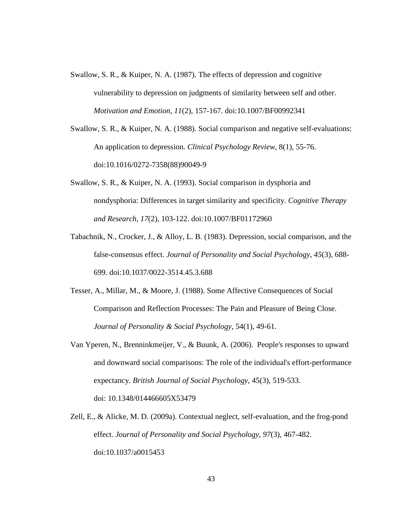- Swallow, S. R., & Kuiper, N. A. (1987). The effects of depression and cognitive vulnerability to depression on judgments of similarity between self and other. *Motivation and Emotion*, *11*(2), 157-167. doi:10.1007/BF00992341
- Swallow, S. R., & Kuiper, N. A. (1988). Social comparison and negative self-evaluations: An application to depression. *Clinical Psychology Review*, 8(1), 55-76. doi:10.1016/0272-7358(88)90049-9
- Swallow, S. R., & Kuiper, N. A. (1993). Social comparison in dysphoria and nondysphoria: Differences in target similarity and specificity. *Cognitive Therapy and Research*, *17*(2), 103-122. doi:10.1007/BF01172960
- Tabachnik, N., Crocker, J., & Alloy, L. B. (1983). Depression, social comparison, and the false-consensus effect. *Journal of Personality and Social Psychology*, *45*(3), 688- 699. doi:10.1037/0022-3514.45.3.688
- Tesser, A., Millar, M., & Moore, J. (1988). Some Affective Consequences of Social Comparison and Reflection Processes: The Pain and Pleasure of Being Close. *Journal of Personality & Social Psychology*, 54(1), 49-61.
- Van Yperen, N., Brenninkmeijer, V., & Buunk, A. (2006). People's responses to upward and downward social comparisons: The role of the individual's effort-performance expectancy. *British Journal of Social Psychology*, 45(3), 519-533. doi: 10.1348/014466605X53479
- Zell, E., & Alicke, M. D. (2009a). Contextual neglect, self-evaluation, and the frog-pond effect. *Journal of Personality and Social Psychology*, *97*(3), 467-482. doi:10.1037/a0015453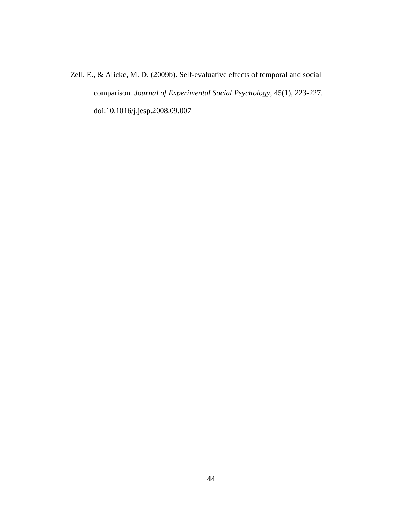Zell, E., & Alicke, M. D. (2009b). Self-evaluative effects of temporal and social comparison. *Journal of Experimental Social Psychology*, 45(1), 223-227. doi:10.1016/j.jesp.2008.09.007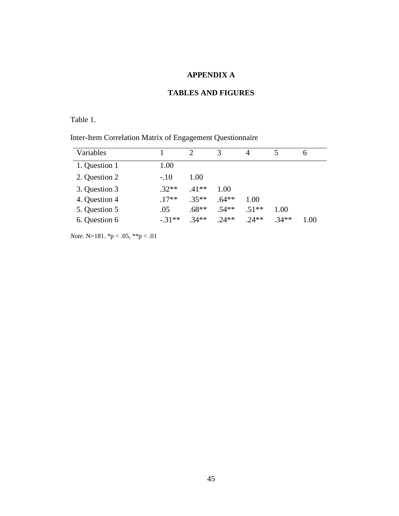# **APPENDIX A**

# **TABLES AND FIGURES**

Table 1.

|  |  | Inter-Item Correlation Matrix of Engagement Questionnaire |
|--|--|-----------------------------------------------------------|
|  |  |                                                           |

| Variables     |         | C       | 3       | 4      |        | 6    |
|---------------|---------|---------|---------|--------|--------|------|
| 1. Question 1 | 1.00    |         |         |        |        |      |
| 2. Question 2 | $-.10$  | 1.00    |         |        |        |      |
| 3. Question 3 | $.32**$ | $.41**$ | 1.00    |        |        |      |
| 4. Question 4 | $17**$  | $.35**$ | $.64**$ | 1.00   |        |      |
| 5. Question 5 | .05     | $.68**$ | $.54**$ | $51**$ | 1.00   |      |
| 6. Question 6 | $-31**$ | $34**$  | $24**$  | $24**$ | $34**$ | 1.00 |

*Note*. N=181. \*p < .05, \*\*p < .01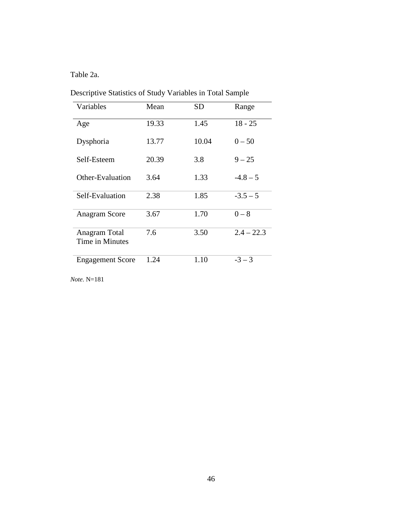Table 2a.

| Variables                        | Mean  | SD    | Range        |
|----------------------------------|-------|-------|--------------|
| Age                              | 19.33 | 1.45  | $18 - 25$    |
| Dysphoria                        | 13.77 | 10.04 | $0 - 50$     |
| Self-Esteem                      | 20.39 | 3.8   | $9 - 25$     |
| Other-Evaluation                 | 3.64  | 1.33  | $-4.8 - 5$   |
| Self-Evaluation                  | 2.38  | 1.85  | $-3.5 - 5$   |
| Anagram Score                    | 3.67  | 1.70  | $0 - 8$      |
| Anagram Total<br>Time in Minutes | 7.6   | 3.50  | $2.4 - 22.3$ |
| <b>Engagement Score</b>          | 1.24  | 1.10  | $-3-3$       |

Descriptive Statistics of Study Variables in Total Sample

*Note*. N=181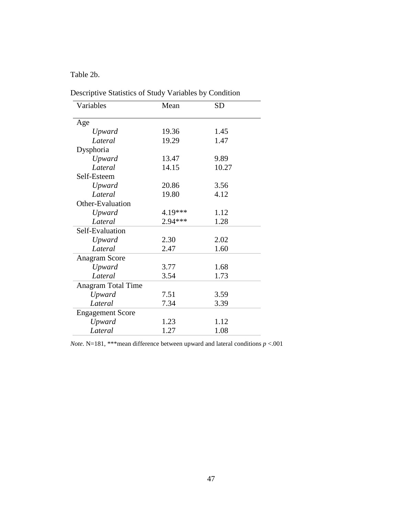# Table 2b.

| Variables               | Mean    | <b>SD</b> |
|-------------------------|---------|-----------|
| Age                     |         |           |
| Upward                  | 19.36   | 1.45      |
| Lateral                 | 19.29   | 1.47      |
|                         |         |           |
| Dysphoria               |         |           |
| Upward                  | 13.47   | 9.89      |
| Lateral                 | 14.15   | 10.27     |
| Self-Esteem             |         |           |
| Upward                  | 20.86   | 3.56      |
| Lateral                 | 19.80   | 4.12      |
| Other-Evaluation        |         |           |
| Upward                  | 4.19*** | 1.12      |
| Lateral                 | 2.94*** | 1.28      |
| Self-Evaluation         |         |           |
| Upward                  | 2.30    | 2.02      |
| Lateral                 | 2.47    | 1.60      |
| Anagram Score           |         |           |
| Upward                  | 3.77    | 1.68      |
| Lateral                 | 3.54    | 1.73      |
| Anagram Total Time      |         |           |
| Upward                  | 7.51    | 3.59      |
| Lateral                 | 7.34    | 3.39      |
| <b>Engagement Score</b> |         |           |
| Upward                  | 1.23    | 1.12      |
| Lateral                 | 1.27    | 1.08      |

Descriptive Statistics of Study Variables by Condition

*Note*. N=181, \*\*\*mean difference between upward and lateral conditions *p* <.001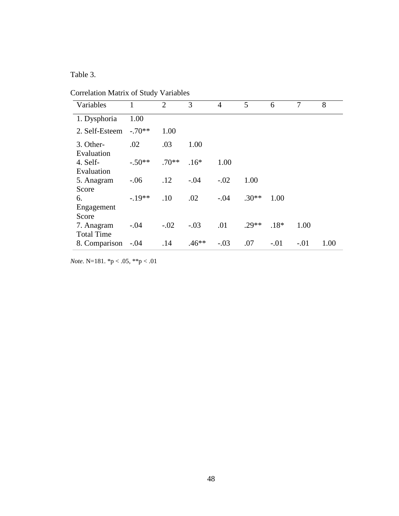Table 3.

Correlation Matrix of Study Variables

| Variables               |          | $\overline{2}$ | 3       | 4      | 5       | 6      | $\overline{7}$ | 8    |
|-------------------------|----------|----------------|---------|--------|---------|--------|----------------|------|
| 1. Dysphoria            | 1.00     |                |         |        |         |        |                |      |
| 2. Self-Esteem          | $-.70**$ | 1.00           |         |        |         |        |                |      |
| 3. Other-<br>Evaluation | .02      | .03            | 1.00    |        |         |        |                |      |
| 4. Self-                | $-.50**$ | $.70**$        | $.16*$  | 1.00   |         |        |                |      |
| Evaluation              |          |                |         |        |         |        |                |      |
| 5. Anagram              | $-.06$   | .12            | $-.04$  | $-.02$ | 1.00    |        |                |      |
| Score                   |          |                |         |        |         |        |                |      |
| 6.                      | $-.19**$ | .10            | .02     | $-.04$ | $.30**$ | 1.00   |                |      |
| Engagement              |          |                |         |        |         |        |                |      |
| Score                   |          |                |         |        |         |        |                |      |
| 7. Anagram              | $-.04$   | $-.02$         | $-.03$  | .01    | $29**$  | $.18*$ | 1.00           |      |
| <b>Total Time</b>       |          |                |         |        |         |        |                |      |
| 8. Comparison           | $-.04$   | .14            | $.46**$ | $-.03$ | .07     | $-.01$ | $-.01$         | 1.00 |

*Note*. N=181. \*p < .05, \*\*p < .01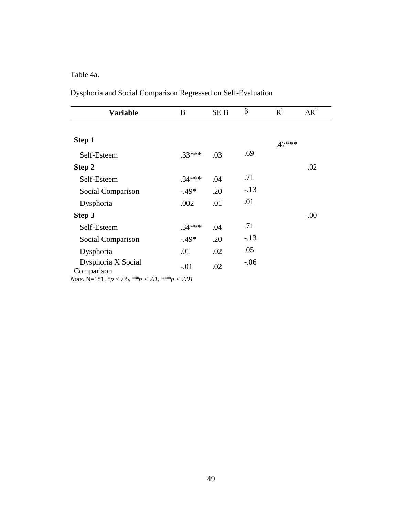Table 4a.

Dysphoria and Social Comparison Regressed on Self-Evaluation

| <b>Variable</b>                                                     | B        | SE B | β      | $R^2$    | $\Delta R^2$ |
|---------------------------------------------------------------------|----------|------|--------|----------|--------------|
| Step 1                                                              |          |      |        | $.47***$ |              |
| Self-Esteem                                                         | $.33***$ | .03  | .69    |          |              |
| Step 2                                                              |          |      |        |          | .02          |
| Self-Esteem                                                         | $.34***$ | .04  | .71    |          |              |
| Social Comparison                                                   | $-.49*$  | .20  | $-.13$ |          |              |
| Dysphoria                                                           | .002     | .01  | .01    |          |              |
| Step 3                                                              |          |      |        |          | .00          |
| Self-Esteem                                                         | $.34***$ | .04  | .71    |          |              |
| Social Comparison                                                   | $-.49*$  | .20  | $-.13$ |          |              |
| Dysphoria                                                           | .01      | .02  | .05    |          |              |
| Dysphoria X Social<br>Comparison                                    | $-.01$   | .02  | $-.06$ |          |              |
| <i>Note</i> . N=181. $^*p < .05$ , $^{**}p < .01$ , $^{**}p < .001$ |          |      |        |          |              |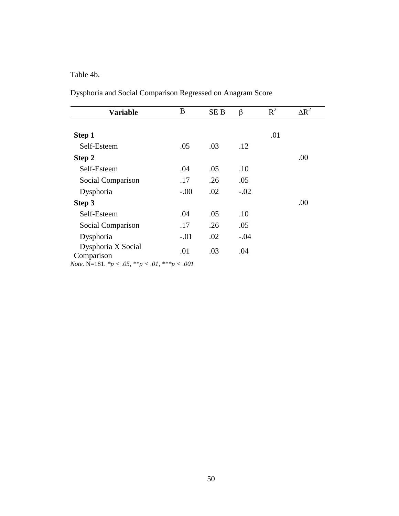Table 4b.

Dysphoria and Social Comparison Regressed on Anagram Score

| <b>Variable</b>                                                      | B      | SE <sub>B</sub> | β      | $R^2$ | $\Delta R^2$ |
|----------------------------------------------------------------------|--------|-----------------|--------|-------|--------------|
|                                                                      |        |                 |        |       |              |
| Step 1                                                               |        |                 |        | .01   |              |
| Self-Esteem                                                          | .05    | .03             | .12    |       |              |
| Step 2                                                               |        |                 |        |       | .00          |
| Self-Esteem                                                          | .04    | .05             | .10    |       |              |
| Social Comparison                                                    | .17    | .26             | .05    |       |              |
| Dysphoria                                                            | $-.00$ | .02             | $-.02$ |       |              |
| Step 3                                                               |        |                 |        |       | .00          |
| Self-Esteem                                                          | .04    | .05             | .10    |       |              |
| Social Comparison                                                    | .17    | .26             | .05    |       |              |
| Dysphoria                                                            | $-.01$ | .02             | $-.04$ |       |              |
| Dysphoria X Social<br>Comparison                                     | .01    | .03             | .04    |       |              |
| <i>Note</i> . N=181. $^*p < .05$ , $^{**}p < .01$ , $^{***}p < .001$ |        |                 |        |       |              |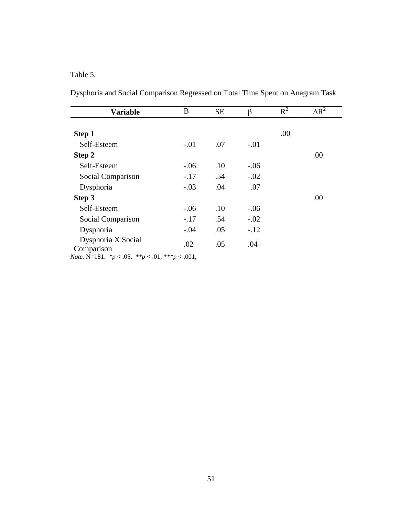Table 5.

| Dysphoria and Social Comparison Regressed on Total Time Spent on Anagram Task |  |
|-------------------------------------------------------------------------------|--|
|-------------------------------------------------------------------------------|--|

| <b>Variable</b>                                                  | B      | <b>SE</b> | β      | $R^2$ | $\Delta R^2$ |
|------------------------------------------------------------------|--------|-----------|--------|-------|--------------|
| Step 1                                                           |        |           |        | .00   |              |
| Self-Esteem                                                      | $-.01$ | .07       | $-.01$ |       |              |
| Step 2                                                           |        |           |        |       | .00          |
| Self-Esteem                                                      | $-.06$ | .10       | $-.06$ |       |              |
| Social Comparison                                                | $-.17$ | .54       | $-.02$ |       |              |
| Dysphoria                                                        | $-.03$ | .04       | .07    |       |              |
| Step 3                                                           |        |           |        |       | .00          |
| Self-Esteem                                                      | $-.06$ | .10       | $-.06$ |       |              |
| Social Comparison                                                | $-.17$ | .54       | $-.02$ |       |              |
| Dysphoria                                                        | $-.04$ | .05       | $-.12$ |       |              |
| Dysphoria X Social<br>Comparison                                 | .02    | .05       | .04    |       |              |
| <i>Note.</i> N=181. $* p < .05$ , $* p < .01$ , $* * p < .001$ , |        |           |        |       |              |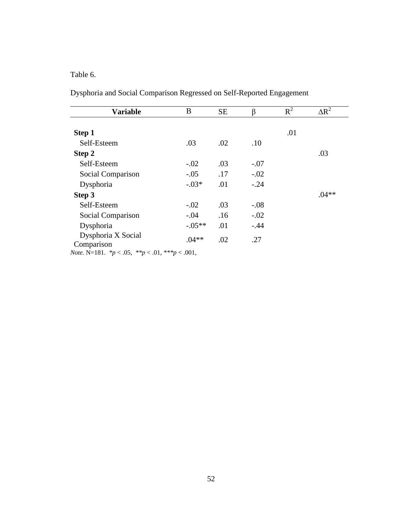Table 6.

Dysphoria and Social Comparison Regressed on Self-Reported Engagement

| <b>Variable</b>                                                   | B        | <b>SE</b> | ß      | $R^2$ | $\Delta R^2$ |
|-------------------------------------------------------------------|----------|-----------|--------|-------|--------------|
| Step 1                                                            |          |           |        | .01   |              |
| Self-Esteem                                                       |          |           |        |       |              |
|                                                                   | .03      | .02       | .10    |       |              |
| Step 2                                                            |          |           |        |       | .03          |
| Self-Esteem                                                       | $-.02$   | .03       | $-.07$ |       |              |
| Social Comparison                                                 | $-.05$   | .17       | $-.02$ |       |              |
| Dysphoria                                                         | $-.03*$  | .01       | $-.24$ |       |              |
| Step 3                                                            |          |           |        |       | $.04**$      |
| Self-Esteem                                                       | $-.02$   | .03       | $-.08$ |       |              |
| Social Comparison                                                 | $-.04$   | .16       | $-.02$ |       |              |
| Dysphoria                                                         | $-.05**$ | .01       | $-.44$ |       |              |
| Dysphoria X Social<br>Comparison                                  | $.04**$  | .02       | .27    |       |              |
| <i>Note</i> . N=181. $* p < .05$ , $* p < .01$ , $* * p < .001$ , |          |           |        |       |              |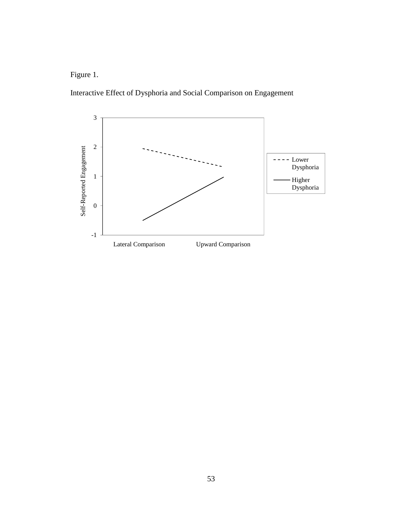Figure 1.

Interactive Effect of Dysphoria and Social Comparison on Engagement

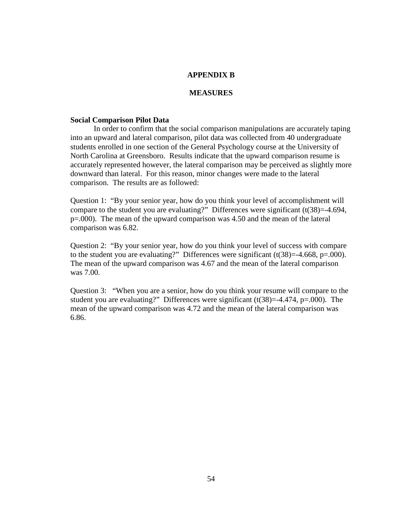## **APPENDIX B**

### **MEASURES**

#### **Social Comparison Pilot Data**

 In order to confirm that the social comparison manipulations are accurately taping into an upward and lateral comparison, pilot data was collected from 40 undergraduate students enrolled in one section of the General Psychology course at the University of North Carolina at Greensboro. Results indicate that the upward comparison resume is accurately represented however, the lateral comparison may be perceived as slightly more downward than lateral. For this reason, minor changes were made to the lateral comparison. The results are as followed:

Question 1: "By your senior year, how do you think your level of accomplishment will compare to the student you are evaluating?" Differences were significant  $(t(38)=4.694,$ p=.000). The mean of the upward comparison was 4.50 and the mean of the lateral comparison was 6.82.

Question 2: "By your senior year, how do you think your level of success with compare to the student you are evaluating?" Differences were significant  $(t(38)=-4.668, p=.000)$ . The mean of the upward comparison was 4.67 and the mean of the lateral comparison was 7.00.

Question 3: "When you are a senior, how do you think your resume will compare to the student you are evaluating?" Differences were significant  $(t(38)=4.474, p=.000)$ . The mean of the upward comparison was 4.72 and the mean of the lateral comparison was 6.86.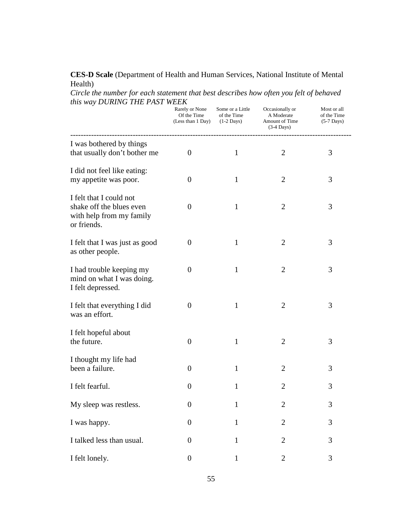## **CES-D Scale** (Department of Health and Human Services, National Institute of Mental Health)

*Circle the number for each statement that best describes how often you felt of behaved this way DURING THE PAST WEEK* 

|                                                                                                | Rarely or None<br>Of the Time<br>(Less than 1 Day) | Some or a Little<br>of the Time<br>$(1-2 \text{ Days})$ | Occasionally or<br>A Moderate<br>Amount of Time<br>$(3-4$ Days) | Most or all<br>of the Time<br>$(5-7 \text{ Days})$ |
|------------------------------------------------------------------------------------------------|----------------------------------------------------|---------------------------------------------------------|-----------------------------------------------------------------|----------------------------------------------------|
| I was bothered by things<br>that usually don't bother me                                       | $\overline{0}$                                     | $\mathbf{1}$                                            | $\overline{2}$                                                  | 3                                                  |
| I did not feel like eating:<br>my appetite was poor.                                           | $\theta$                                           | 1                                                       | $\overline{2}$                                                  | 3                                                  |
| I felt that I could not<br>shake off the blues even<br>with help from my family<br>or friends. | $\theta$                                           | $\mathbf{1}$                                            | $\overline{2}$                                                  | 3                                                  |
| I felt that I was just as good<br>as other people.                                             | $\theta$                                           | $\mathbf{1}$                                            | $\overline{2}$                                                  | 3                                                  |
| I had trouble keeping my<br>mind on what I was doing.<br>I felt depressed.                     | $\theta$                                           | $\mathbf{1}$                                            | $\overline{2}$                                                  | 3                                                  |
| I felt that everything I did<br>was an effort.                                                 | $\theta$                                           | 1                                                       | $\overline{2}$                                                  | 3                                                  |
| I felt hopeful about<br>the future.                                                            | $\overline{0}$                                     | $\mathbf{1}$                                            | $\overline{2}$                                                  | 3                                                  |
| I thought my life had<br>been a failure.                                                       | $\overline{0}$                                     | 1                                                       | $\overline{2}$                                                  | 3                                                  |
| I felt fearful.                                                                                | $\theta$                                           | 1                                                       | $\overline{2}$                                                  | 3                                                  |
| My sleep was restless.                                                                         | $\boldsymbol{0}$                                   | $\mathbf{1}$                                            | $\mathbf{2}$                                                    | 3                                                  |
| I was happy.                                                                                   | $\boldsymbol{0}$                                   | $\mathbf{1}$                                            | $\overline{2}$                                                  | 3                                                  |
| I talked less than usual.                                                                      | $\overline{0}$                                     | 1                                                       | $\overline{2}$                                                  | 3                                                  |
| I felt lonely.                                                                                 | $\boldsymbol{0}$                                   | $\mathbf{1}$                                            | $\overline{2}$                                                  | 3                                                  |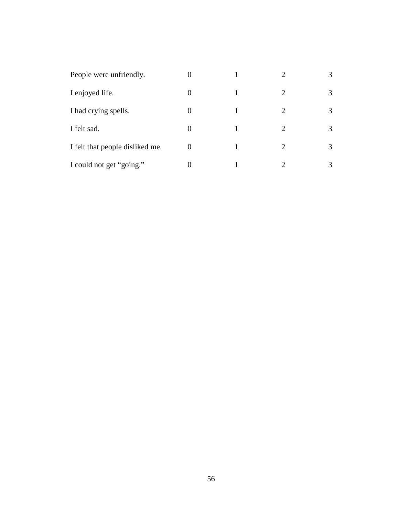| People were unfriendly.         |          | 2                           | 3 |
|---------------------------------|----------|-----------------------------|---|
| I enjoyed life.                 | 0        | 2                           | 3 |
| I had crying spells.            | 0        | $\mathcal{D}_{\mathcal{L}}$ | 3 |
| I felt sad.                     |          | $\mathcal{D}_{\mathcal{L}}$ | 3 |
| I felt that people disliked me. | $\theta$ | $\mathcal{D}_{\cdot}$       | 3 |
| I could not get "going."        |          | ി                           |   |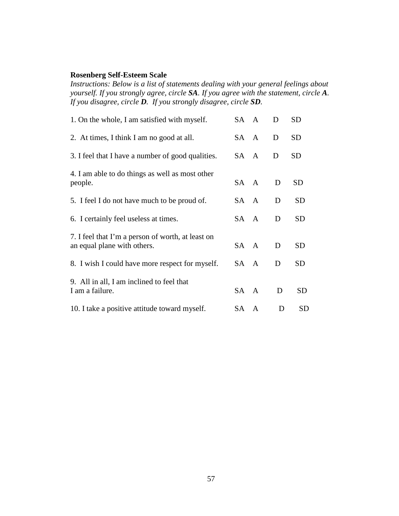## **Rosenberg Self-Esteem Scale**

*Instructions: Below is a list of statements dealing with your general feelings about yourself. If you strongly agree, circle SA. If you agree with the statement, circle A. If you disagree, circle D. If you strongly disagree, circle SD.* 

| 1. On the whole, I am satisfied with myself.                                     | SA A | D | <b>SD</b> |
|----------------------------------------------------------------------------------|------|---|-----------|
| 2. At times, I think I am no good at all.                                        | SA A | D | <b>SD</b> |
| 3. I feel that I have a number of good qualities.                                | SA A | D | <b>SD</b> |
| 4. I am able to do things as well as most other<br>people.                       | SA A | D | <b>SD</b> |
| 5. I feel I do not have much to be proud of.                                     | SA A | D | <b>SD</b> |
| 6. I certainly feel useless at times.                                            | SA A | D | <b>SD</b> |
| 7. I feel that I'm a person of worth, at least on<br>an equal plane with others. | SA A | D | <b>SD</b> |
| 8. I wish I could have more respect for myself.                                  | SA A | D | <b>SD</b> |
| 9. All in all, I am inclined to feel that<br>I am a failure.                     | SA A | D | <b>SD</b> |
| 10. I take a positive attitude toward myself.                                    | SA A | D | <b>SD</b> |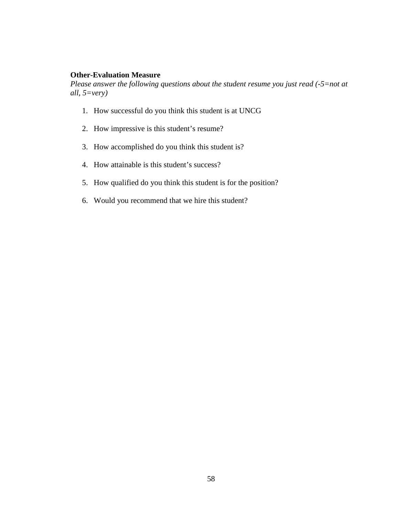## **Other-Evaluation Measure**

*Please answer the following questions about the student resume you just read (-5=not at all, 5=very)* 

- 1. How successful do you think this student is at UNCG
- 2. How impressive is this student's resume?
- 3. How accomplished do you think this student is?
- 4. How attainable is this student's success?
- 5. How qualified do you think this student is for the position?
- 6. Would you recommend that we hire this student?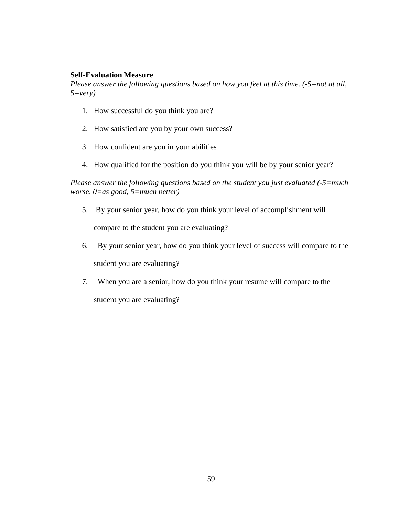## **Self-Evaluation Measure**

*Please answer the following questions based on how you feel at this time. (-5=not at all, 5=very)* 

- 1. How successful do you think you are?
- 2. How satisfied are you by your own success?
- 3. How confident are you in your abilities
- 4. How qualified for the position do you think you will be by your senior year?

*Please answer the following questions based on the student you just evaluated (-5=much worse, 0=as good, 5=much better)* 

- 5. By your senior year, how do you think your level of accomplishment will compare to the student you are evaluating?
- 6. By your senior year, how do you think your level of success will compare to the student you are evaluating?
- 7. When you are a senior, how do you think your resume will compare to the student you are evaluating?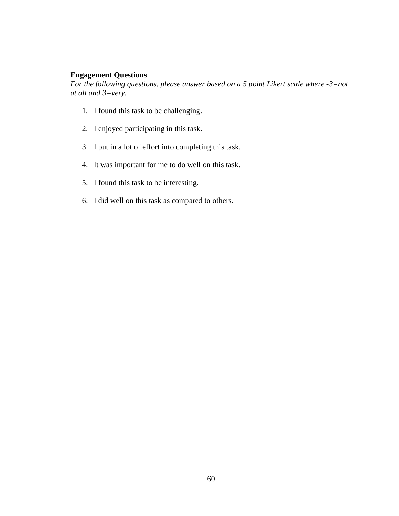## **Engagement Questions**

*For the following questions, please answer based on a 5 point Likert scale where -3=not at all and 3=very.* 

- 1. I found this task to be challenging.
- 2. I enjoyed participating in this task.
- 3. I put in a lot of effort into completing this task.
- 4. It was important for me to do well on this task.
- 5. I found this task to be interesting.
- 6. I did well on this task as compared to others.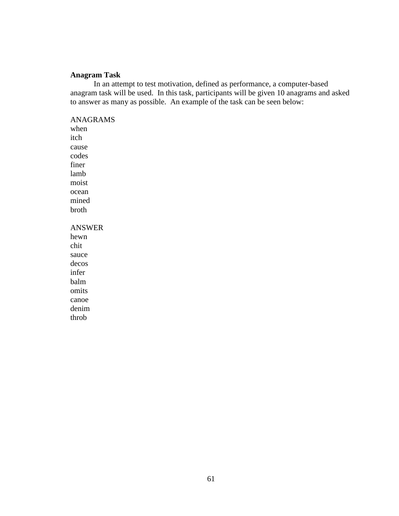## **Anagram Task**

In an attempt to test motivation, defined as performance, a computer-based anagram task will be used. In this task, participants will be given 10 anagrams and asked to answer as many as possible. An example of the task can be seen below:

## ANAGRAMS

when itch cause codes finer lamb moist ocean mined broth ANSWER hewn chit sauce decos infer balm

omits canoe denim throb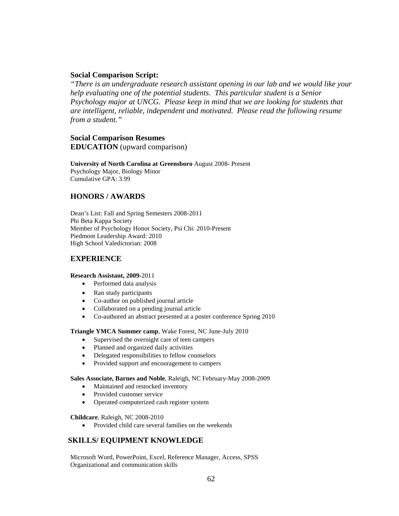## **Social Comparison Script:**

*"There is an undergraduate research assistant opening in our lab and we would like your help evaluating one of the potential students. This particular student is a Senior Psychology major at UNCG. Please keep in mind that we are looking for students that are intelligent, reliable, independent and motivated. Please read the following resume from a student."* 

## **Social Comparison Resumes EDUCATION** (upward comparison)

#### **University of North Carolina at Greensboro** August 2008- Present Psychology Major, Biology Minor

Cumulative GPA: 3.99

## **HONORS / AWARDS**

Dean's List: Fall and Spring Semesters 2008-2011 Phi Beta Kappa Society Member of Psychology Honor Society, Psi Chi: 2010-Present Piedmont Leadership Award: 2010 High School Valedictorian: 2008

## **EXPERIENCE**

#### **Research Assistant, 2009-**2011

- Performed data analysis
- Ran study participants
- Co-author on published journal article
- Collaborated on a pending journal article
- Co-authored an abstract presented at a poster conference Spring 2010

#### **Triangle YMCA Summer camp**, Wake Forest, NC June-July 2010

- Supervised the overnight care of teen campers
- Planned and organized daily activities
- Delegated responsibilities to fellow counselors
- Provided support and encouragement to campers

#### **Sales Associate, Barnes and Noble**, Raleigh, NC February-May 2008-2009

- Maintained and restocked inventory
- Provided customer service
- Operated computerized cash register system

#### **Childcare**, Raleigh, NC 2008-2010

• Provided child care several families on the weekends

## **SKILLS/ EQUIPMENT KNOWLEDGE**

Microsoft Word, PowerPoint, Excel, Reference Manager, Access, SPSS Organizational and communication skills